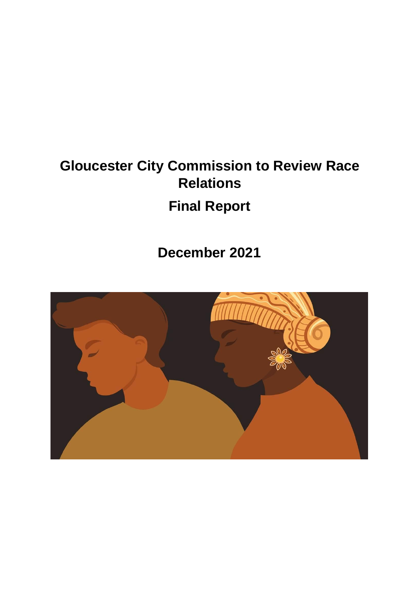# **Gloucester City Commission to Review Race Relations Final Report**

**December 2021**

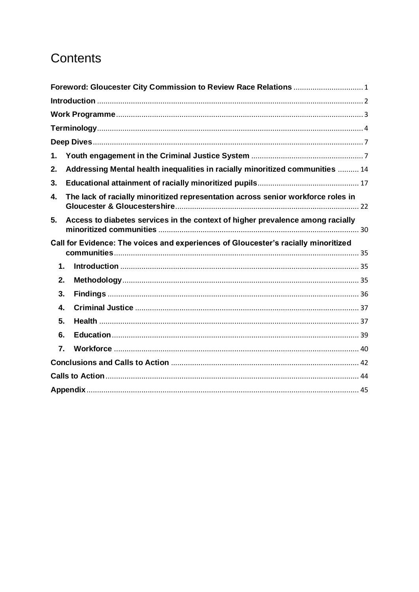# Contents

| Foreword: Gloucester City Commission to Review Race Relations  1                       |  |
|----------------------------------------------------------------------------------------|--|
|                                                                                        |  |
|                                                                                        |  |
|                                                                                        |  |
|                                                                                        |  |
| 1.                                                                                     |  |
| Addressing Mental health inequalities in racially minoritized communities  14<br>2.    |  |
| 3.                                                                                     |  |
| The lack of racially minoritized representation across senior workforce roles in<br>4. |  |
| Access to diabetes services in the context of higher prevalence among racially<br>5.   |  |
| Call for Evidence: The voices and experiences of Gloucester's racially minoritized     |  |
| 1.                                                                                     |  |
| 2.                                                                                     |  |
| 3.                                                                                     |  |
| 4.                                                                                     |  |
| 5.                                                                                     |  |
| 6.                                                                                     |  |
| 7.                                                                                     |  |
|                                                                                        |  |
|                                                                                        |  |
|                                                                                        |  |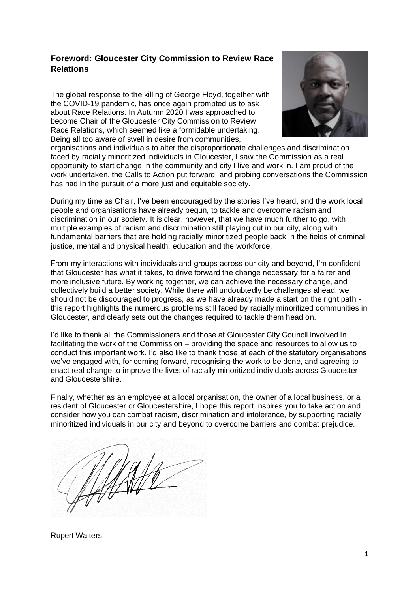# <span id="page-2-0"></span>**Foreword: Gloucester City Commission to Review Race Relations**

The global response to the killing of George Floyd, together with the COVID-19 pandemic, has once again prompted us to ask about Race Relations. In Autumn 2020 I was approached to become Chair of the Gloucester City Commission to Review Race Relations, which seemed like a formidable undertaking. Being all too aware of swell in desire from communities,



organisations and individuals to alter the disproportionate challenges and discrimination faced by racially minoritized individuals in Gloucester, I saw the Commission as a real opportunity to start change in the community and city I live and work in. I am proud of the work undertaken, the Calls to Action put forward, and probing conversations the Commission has had in the pursuit of a more just and equitable society.

During my time as Chair, I've been encouraged by the stories I've heard, and the work local people and organisations have already begun, to tackle and overcome racism and discrimination in our society. It is clear, however, that we have much further to go, with multiple examples of racism and discrimination still playing out in our city, along with fundamental barriers that are holding racially minoritized people back in the fields of criminal justice, mental and physical health, education and the workforce.

From my interactions with individuals and groups across our city and beyond, I'm confident that Gloucester has what it takes, to drive forward the change necessary for a fairer and more inclusive future. By working together, we can achieve the necessary change, and collectively build a better society. While there will undoubtedly be challenges ahead, we should not be discouraged to progress, as we have already made a start on the right path  $\cdot$ this report highlights the numerous problems still faced by racially minoritized communities in Gloucester, and clearly sets out the changes required to tackle them head on.

I'd like to thank all the Commissioners and those at Gloucester City Council involved in facilitating the work of the Commission – providing the space and resources to allow us to conduct this important work. I'd also like to thank those at each of the statutory organisations we've engaged with, for coming forward, recognising the work to be done, and agreeing to enact real change to improve the lives of racially minoritized individuals across Gloucester and Gloucestershire.

Finally, whether as an employee at a local organisation, the owner of a local business, or a resident of Gloucester or Gloucestershire, I hope this report inspires you to take action and consider how you can combat racism, discrimination and intolerance, by supporting racially minoritized individuals in our city and beyond to overcome barriers and combat prejudice.

Rupert Walters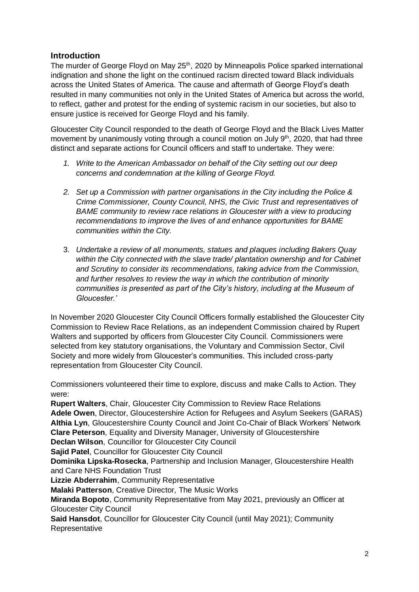# <span id="page-3-0"></span>**Introduction**

The murder of George Floyd on May 25<sup>th</sup>, 2020 by Minneapolis Police sparked international indignation and shone the light on the continued racism directed toward Black individuals across the United States of America. The cause and aftermath of George Floyd's death resulted in many communities not only in the United States of America but across the world, to reflect, gather and protest for the ending of systemic racism in our societies, but also to ensure justice is received for George Floyd and his family.

Gloucester City Council responded to the death of George Floyd and the Black Lives Matter movement by unanimously voting through a council motion on July 9th, 2020, that had three distinct and separate actions for Council officers and staff to undertake. They were:

- *1. Write to the American Ambassador on behalf of the City setting out our deep concerns and condemnation at the killing of George Floyd.*
- *2. Set up a Commission with partner organisations in the City including the Police & Crime Commissioner, County Council, NHS, the Civic Trust and representatives of BAME community to review race relations in Gloucester with a view to producing recommendations to improve the lives of and enhance opportunities for BAME communities within the City.*
- 3. *Undertake a review of all monuments, statues and plaques including Bakers Quay*  within the City connected with the slave trade/ plantation ownership and for Cabinet *and Scrutiny to consider its recommendations, taking advice from the Commission, and further resolves to review the way in which the contribution of minority communities is presented as part of the City's history, including at the Museum of Gloucester.'*

In November 2020 Gloucester City Council Officers formally established the Gloucester City Commission to Review Race Relations, as an independent Commission chaired by Rupert Walters and supported by officers from Gloucester City Council. Commissioners were selected from key statutory organisations, the Voluntary and Commission Sector, Civil Society and more widely from Gloucester's communities. This included cross-party representation from Gloucester City Council.

Commissioners volunteered their time to explore, discuss and make Calls to Action. They were:

**Rupert Walters**, Chair, Gloucester City Commission to Review Race Relations **Adele Owen**, Director, Gloucestershire Action for Refugees and Asylum Seekers (GARAS) **Althia Lyn**, Gloucestershire County Council and Joint Co-Chair of Black Workers' Network **Clare Peterson**, Equality and Diversity Manager, University of Gloucestershire **Declan Wilson**, Councillor for Gloucester City Council

**Sajid Patel**, Councillor for Gloucester City Council

**Dominika Lipska-Rosecka**, Partnership and Inclusion Manager, Gloucestershire Health and Care NHS Foundation Trust

**Lizzie Abderrahim**, Community Representative

**Malaki Patterson**, Creative Director, The Music Works

**Miranda Bopoto**, Community Representative from May 2021, previously an Officer at Gloucester City Council

**Said Hansdot**, Councillor for Gloucester City Council (until May 2021); Community **Representative**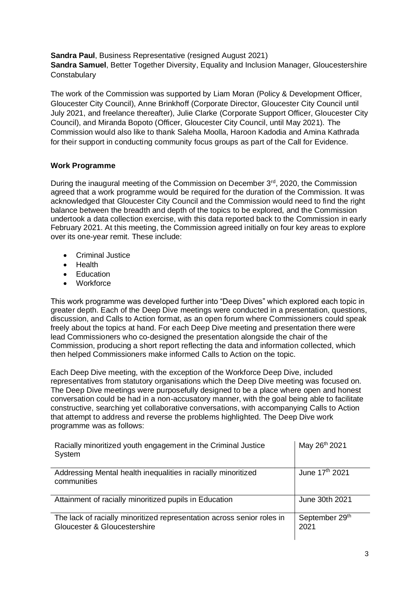**Sandra Paul**, Business Representative (resigned August 2021) **Sandra Samuel**, Better Together Diversity, Equality and Inclusion Manager, Gloucestershire **Constabulary** 

The work of the Commission was supported by Liam Moran (Policy & Development Officer, Gloucester City Council), Anne Brinkhoff (Corporate Director, Gloucester City Council until July 2021, and freelance thereafter), Julie Clarke (Corporate Support Officer, Gloucester City Council), and Miranda Bopoto (Officer, Gloucester City Council, until May 2021). The Commission would also like to thank Saleha Moolla, Haroon Kadodia and Amina Kathrada for their support in conducting community focus groups as part of the Call for Evidence.

#### <span id="page-4-0"></span>**Work Programme**

During the inaugural meeting of the Commission on December 3<sup>rd</sup>, 2020, the Commission agreed that a work programme would be required for the duration of the Commission. It was acknowledged that Gloucester City Council and the Commission would need to find the right balance between the breadth and depth of the topics to be explored, and the Commission undertook a data collection exercise, with this data reported back to the Commission in early February 2021. At this meeting, the Commission agreed initially on four key areas to explore over its one-year remit. These include:

- Criminal Justice
- Health
- **Education**
- Workforce

This work programme was developed further into "Deep Dives" which explored each topic in greater depth. Each of the Deep Dive meetings were conducted in a presentation, questions, discussion, and Calls to Action format, as an open forum where Commissioners could speak freely about the topics at hand. For each Deep Dive meeting and presentation there were lead Commissioners who co-designed the presentation alongside the chair of the Commission, producing a short report reflecting the data and information collected, which then helped Commissioners make informed Calls to Action on the topic.

Each Deep Dive meeting, with the exception of the Workforce Deep Dive, included representatives from statutory organisations which the Deep Dive meeting was focused on. The Deep Dive meetings were purposefully designed to be a place where open and honest conversation could be had in a non-accusatory manner, with the goal being able to facilitate constructive, searching yet collaborative conversations, with accompanying Calls to Action that attempt to address and reverse the problems highlighted. The Deep Dive work programme was as follows:

| Racially minoritized youth engagement in the Criminal Justice<br>System                                | May 26th 2021              |
|--------------------------------------------------------------------------------------------------------|----------------------------|
| Addressing Mental health inequalities in racially minoritized<br>communities                           | June 17 <sup>th</sup> 2021 |
| Attainment of racially minoritized pupils in Education                                                 | June 30th 2021             |
| The lack of racially minoritized representation across senior roles in<br>Gloucester & Gloucestershire | September 29th<br>2021     |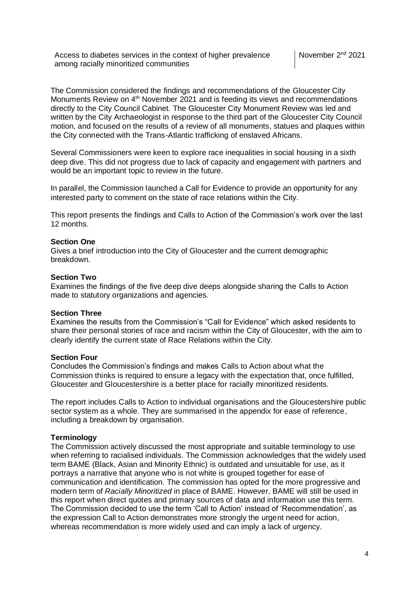Access to diabetes services in the context of higher prevalence among racially minoritized communities

The Commission considered the findings and recommendations of the Gloucester City Monuments Review on 4<sup>th</sup> November 2021 and is feeding its views and recommendations directly to the City Council Cabinet. The Gloucester City Monument Review was led and written by the City Archaeologist in response to the third part of the Gloucester City Council motion, and focused on the results of a review of all monuments, statues and plaques within the City connected with the Trans-Atlantic trafficking of enslaved Africans.

Several Commissioners were keen to explore race inequalities in social housing in a sixth deep dive. This did not progress due to lack of capacity and engagement with partners and would be an important topic to review in the future.

In parallel, the Commission launched a Call for Evidence to provide an opportunity for any interested party to comment on the state of race relations within the City.

This report presents the findings and Calls to Action of the Commission's work over the last 12 months.

#### **Section One**

Gives a brief introduction into the City of Gloucester and the current demographic breakdown.

#### **Section Two**

Examines the findings of the five deep dive deeps alongside sharing the Calls to Action made to statutory organizations and agencies.

#### **Section Three**

Examines the results from the Commission's "Call for Evidence" which asked residents to share their personal stories of race and racism within the City of Gloucester, with the aim to clearly identify the current state of Race Relations within the City.

#### **Section Four**

Concludes the Commission's findings and makes Calls to Action about what the Commission thinks is required to ensure a legacy with the expectation that, once fulfilled, Gloucester and Gloucestershire is a better place for racially minoritized residents.

The report includes Calls to Action to individual organisations and the Gloucestershire public sector system as a whole. They are summarised in the appendix for ease of reference, including a breakdown by organisation.

#### <span id="page-5-0"></span>**Terminology**

The Commission actively discussed the most appropriate and suitable terminology to use when referring to racialised individuals. The Commission acknowledges that the widely used term BAME (Black, Asian and Minority Ethnic) is outdated and unsuitable for use, as it portrays a narrative that anyone who is not white is grouped together for ease of communication and identification. The commission has opted for the more progressive and modern term of *Racially Minoritized* in place of BAME. However, BAME will still be used in this report when direct quotes and primary sources of data and information use this term. The Commission decided to use the term 'Call to Action' instead of 'Recommendation', as the expression Call to Action demonstrates more strongly the urgent need for action, whereas recommendation is more widely used and can imply a lack of urgency.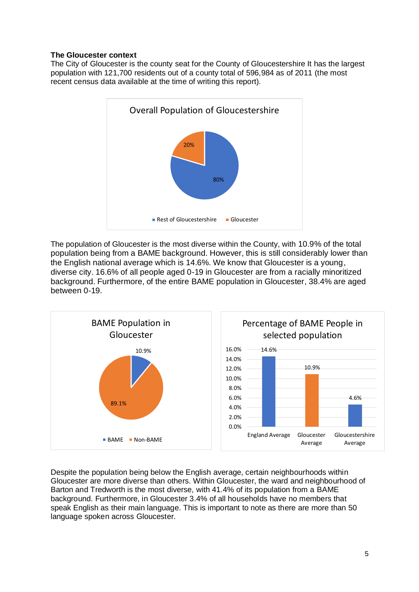### **The Gloucester context**

The City of Gloucester is the county seat for the County of Gloucestershire It has the largest population with 121,700 residents out of a county total of 596,984 as of 2011 (the most recent census data available at the time of writing this report).



The population of Gloucester is the most diverse within the County, with 10.9% of the total population being from a BAME background. However, this is still considerably lower than the English national average which is 14.6%. We know that Gloucester is a young, diverse city. 16.6% of all people aged 0-19 in Gloucester are from a racially minoritized background. Furthermore, of the entire BAME population in Gloucester, 38.4% are aged between 0-19.



Despite the population being below the English average, certain neighbourhoods within Gloucester are more diverse than others. Within Gloucester, the ward and neighbourhood of Barton and Tredworth is the most diverse, with 41.4% of its population from a BAME background. Furthermore, in Gloucester 3.4% of all households have no members that speak English as their main language. This is important to note as there are more than 50 language spoken across Gloucester.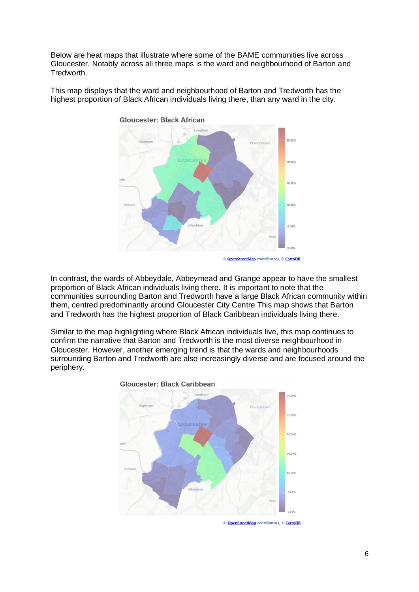Below are heat maps that illustrate where some of the BAME communities live across Gloucester. Notably across all three maps is the ward and neighbourhood of Barton and Tredworth.



This map displays that the ward and neighbourhood of Barton and Tredworth has the highest proportion of Black African individuals living there, than any ward in the city.

In contrast, the wards of Abbeydale, Abbeymead and Grange appear to have the smallest proportion of Black African individuals living there. It is important to note that the communities surrounding Barton and Tredworth have a large Black African community within them, centred predominantly around Gloucester City Centre.This map shows that Barton and Tredworth has the highest proportion of Black Caribbean individuals living there.

Similar to the map highlighting where Black African individuals live, this map continues to confirm the narrative that Barton and Tredworth is the most diverse neighbourhood in Gloucester. However, another emerging trend is that the wards and neighbourhoods surrounding Barton and Tredworth are also increasingly diverse and are focused around the periphery.



© OpenStreetMap contributors, © CartoDB

<sup>©</sup> OpenStreetMap contributors, © CartoDB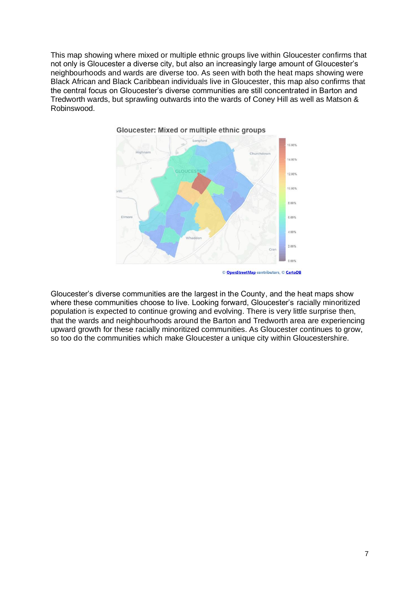This map showing where mixed or multiple ethnic groups live within Gloucester confirms that not only is Gloucester a diverse city, but also an increasingly large amount of Gloucester's neighbourhoods and wards are diverse too. As seen with both the heat maps showing were Black African and Black Caribbean individuals live in Gloucester, this map also confirms that the central focus on Gloucester's diverse communities are still concentrated in Barton and Tredworth wards, but sprawling outwards into the wards of Coney Hill as well as Matson & Robinswood.



Gloucester: Mixed or multiple ethnic groups

Gloucester's diverse communities are the largest in the County, and the heat maps show where these communities choose to live. Looking forward, Gloucester's racially minoritized population is expected to continue growing and evolving. There is very little surprise then, that the wards and neighbourhoods around the Barton and Tredworth area are experiencing upward growth for these racially minoritized communities. As Gloucester continues to grow, so too do the communities which make Gloucester a unique city within Gloucestershire.

<sup>©</sup> OpenStreetMap contributors, © CartoDB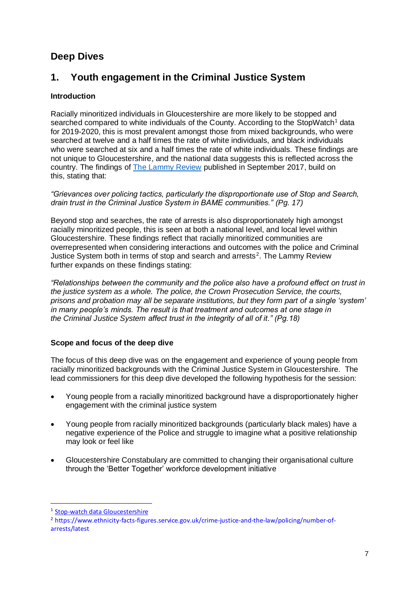# <span id="page-9-0"></span>**Deep Dives**

# <span id="page-9-1"></span>**1. Youth engagement in the Criminal Justice System**

# **Introduction**

Racially minoritized individuals in Gloucestershire are more likely to be stopped and searched compared to white individuals of the County. According to the StopWatch<sup>1</sup> data for 2019-2020, this is most prevalent amongst those from mixed backgrounds, who were searched at twelve and a half times the rate of white individuals, and black individuals who were searched at six and a half times the rate of white individuals. These findings are not unique to Gloucestershire, and the national data suggests this is reflected across the country. The findings of [The Lammy Review](https://assets.publishing.service.gov.uk/government/uploads/system/uploads/attachment_data/file/643001/lammy-review-final-report.pdf) published in September 2017, build on this, stating that:

*"Grievances over policing tactics, particularly the disproportionate use of Stop and Search, drain trust in the Criminal Justice System in BAME communities." (Pg. 17)*

Beyond stop and searches, the rate of arrests is also disproportionately high amongst racially minoritized people, this is seen at both a national level, and local level within Gloucestershire. These findings reflect that racially minoritized communities are overrepresented when considering interactions and outcomes with the police and Criminal Justice System both in terms of stop and search and arrests<sup>2</sup>. The Lammy Review further expands on these findings stating:

*"Relationships between the community and the police also have a profound effect on trust in the justice system as a whole. The police, the Crown Prosecution Service, the courts, prisons and probation may all be separate institutions, but they form part of a single 'system' in many people's minds. The result is that treatment and outcomes at one stage in the Criminal Justice System affect trust in the integrity of all of it." (Pg.18)*

# **Scope and focus of the deep dive**

The focus of this deep dive was on the engagement and experience of young people from racially minoritized backgrounds with the Criminal Justice System in Gloucestershire. The lead commissioners for this deep dive developed the following hypothesis for the session:

- Young people from a racially minoritized background have a disproportionately higher engagement with the criminal justice system
- Young people from racially minoritized backgrounds (particularly black males) have a negative experience of the Police and struggle to imagine what a positive relationship may look or feel like
- Gloucestershire Constabulary are committed to changing their organisational culture through the 'Better Together' workforce development initiative

<sup>&</sup>lt;sup>1</sup> [Stop-watch data Gloucestershire](https://www.stop-watch.org/your-area/area/gloucestershire)

<sup>2</sup> [https://www.ethnicity-facts-figures.service.gov.uk/crime-justice-and-the-law/policing/number-of](https://www.ethnicity-facts-figures.service.gov.uk/crime-justice-and-the-law/policing/number-of-arrests/latest)[arrests/latest](https://www.ethnicity-facts-figures.service.gov.uk/crime-justice-and-the-law/policing/number-of-arrests/latest)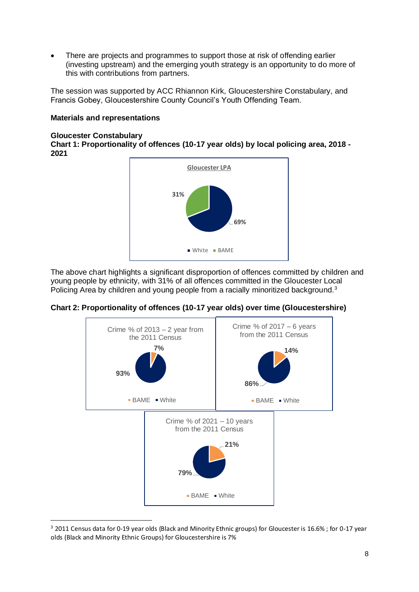There are projects and programmes to support those at risk of offending earlier (investing upstream) and the emerging youth strategy is an opportunity to do more of this with contributions from partners.

The session was supported by ACC Rhiannon Kirk, Gloucestershire Constabulary, and Francis Gobey, Gloucestershire County Council's Youth Offending Team.

#### **Materials and representations**

#### **Gloucester Constabulary**

**Chart 1: Proportionality of offences (10-17 year olds) by local policing area, 2018 - 2021**



The above chart highlights a significant disproportion of offences committed by children and young people by ethnicity, with 31% of all offences committed in the Gloucester Local Policing Area by children and young people from a racially minoritized background.<sup>3</sup>



**Chart 2: Proportionality of offences (10-17 year olds) over time (Gloucestershire)**

<sup>&</sup>lt;sup>3</sup> 2011 Census data for 0-19 year olds (Black and Minority Ethnic groups) for Gloucester is 16.6%; for 0-17 year olds (Black and Minority Ethnic Groups) for Gloucestershire is 7%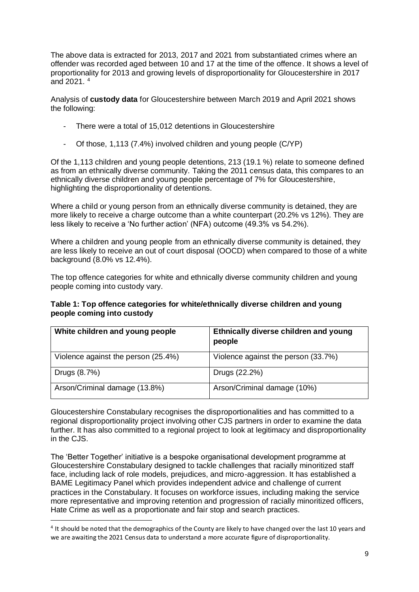The above data is extracted for 2013, 2017 and 2021 from substantiated crimes where an offender was recorded aged between 10 and 17 at the time of the offence. It shows a level of proportionality for 2013 and growing levels of disproportionality for Gloucestershire in 2017 and 2021. $4$ 

Analysis of **custody data** for Gloucestershire between March 2019 and April 2021 shows the following:

- There were a total of 15,012 detentions in Gloucestershire
- Of those, 1,113 (7.4%) involved children and young people (C/YP)

Of the 1,113 children and young people detentions, 213 (19.1 %) relate to someone defined as from an ethnically diverse community. Taking the 2011 census data, this compares to an ethnically diverse children and young people percentage of 7% for Gloucestershire, highlighting the disproportionality of detentions.

Where a child or young person from an ethnically diverse community is detained, they are more likely to receive a charge outcome than a white counterpart (20.2% vs 12%). They are less likely to receive a 'No further action' (NFA) outcome (49.3% vs 54.2%).

Where a children and young people from an ethnically diverse community is detained, they are less likely to receive an out of court disposal (OOCD) when compared to those of a white background (8.0% vs 12.4%).

The top offence categories for white and ethnically diverse community children and young people coming into custody vary.

#### **Table 1: Top offence categories for white/ethnically diverse children and young people coming into custody**

| White children and young people     | Ethnically diverse children and young<br>people |
|-------------------------------------|-------------------------------------------------|
| Violence against the person (25.4%) | Violence against the person (33.7%)             |
| Drugs (8.7%)                        | Drugs (22.2%)                                   |
| Arson/Criminal damage (13.8%)       | Arson/Criminal damage (10%)                     |

Gloucestershire Constabulary recognises the disproportionalities and has committed to a regional disproportionality project involving other CJS partners in order to examine the data further. It has also committed to a regional project to look at legitimacy and disproportionality in the CJS.

The 'Better Together' initiative is a bespoke organisational development programme at Gloucestershire Constabulary designed to tackle challenges that racially minoritized staff face, including lack of role models, prejudices, and micro-aggression. It has established a BAME Legitimacy Panel which provides independent advice and challenge of current practices in the Constabulary. It focuses on workforce issues, including making the service more representative and improving retention and progression of racially minoritized officers, Hate Crime as well as a proportionate and fair stop and search practices.

<sup>&</sup>lt;sup>4</sup> It should be noted that the demographics of the County are likely to have changed over the last 10 years and we are awaiting the 2021 Census data to understand a more accurate figure of disproportionality.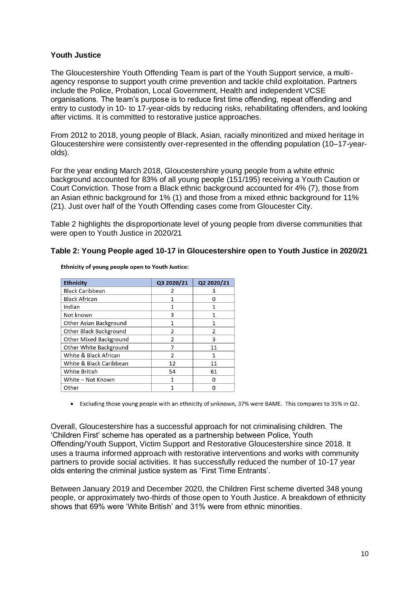#### **Youth Justice**

The Gloucestershire Youth Offending Team is part of the Youth Support service, a multiagency response to support youth crime prevention and tackle child exploitation. Partners include the Police, Probation, Local Government, Health and independent VCSE organisations. The team's purpose is to reduce first time offending, repeat offending and entry to custody in 10- to 17-year-olds by reducing risks, rehabilitating offenders, and looking after victims. It is committed to restorative justice approaches.

From 2012 to 2018, young people of Black, Asian, racially minoritized and mixed heritage in Gloucestershire were consistently over-represented in the offending population (10–17-yearolds).

For the year ending March 2018, Gloucestershire young people from a white ethnic background accounted for 83% of all young people (151/195) receiving a Youth Caution or Court Conviction. Those from a Black ethnic background accounted for 4% (7), those from an Asian ethnic background for 1% (1) and those from a mixed ethnic background for 11% (21). Just over half of the Youth Offending cases come from Gloucester City.

Table 2 highlights the disproportionate level of young people from diverse communities that were open to Youth Justice in 2020/21

#### **Table 2: Young People aged 10-17 in Gloucestershire open to Youth Justice in 2020/21**

| Ethnicity               | Q3 2020/21     | Q2 2020/21    |  |  |
|-------------------------|----------------|---------------|--|--|
| <b>Black Caribbean</b>  |                | 3             |  |  |
| <b>Black African</b>    |                | n             |  |  |
| Indian                  | 1              | 1             |  |  |
| Not known               | 3              | 1             |  |  |
| Other Asian Background  |                | 1             |  |  |
| Other Black Background  | $\overline{2}$ | $\mathfrak z$ |  |  |
| Other Mixed Background  | $\overline{2}$ | 3             |  |  |
| Other White Background  | 7              | 11            |  |  |
| White & Black African   | $\mathfrak{p}$ | 1             |  |  |
| White & Black Caribbean | 12             | 11            |  |  |
| White British           | 54             | 61            |  |  |
| White - Not Known       | 1              | n             |  |  |
| Other                   |                |               |  |  |

Ethnicity of young people open to Youth Justice:

• Excluding those young people with an ethnicity of unknown, 37% were BAME. This compares to 35% in Q2.

Overall, Gloucestershire has a successful approach for not criminalising children. The 'Children First' scheme has operated as a partnership between Police, Youth Offending/Youth Support, Victim Support and Restorative Gloucestershire since 2018. It uses a trauma informed approach with restorative interventions and works with community partners to provide social activities. It has successfully reduced the number of 10-17 year olds entering the criminal justice system as 'First Time Entrants'.

Between January 2019 and December 2020, the Children First scheme diverted 348 young people, or approximately two-thirds of those open to Youth Justice. A breakdown of ethnicity shows that 69% were 'White British' and 31% were from ethnic minorities.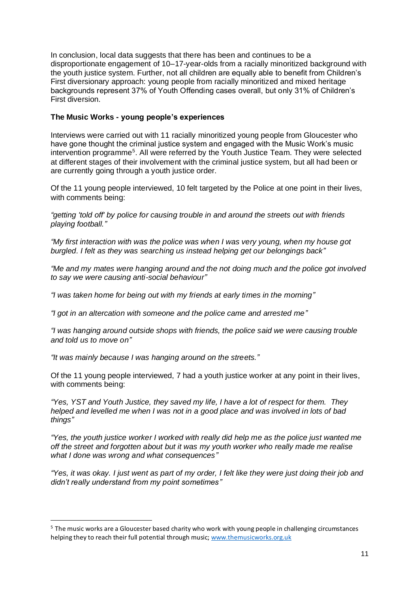In conclusion, local data suggests that there has been and continues to be a disproportionate engagement of 10–17-year-olds from a racially minoritized background with the youth justice system. Further, not all children are equally able to benefit from Children's First diversionary approach: young people from racially minoritized and mixed heritage backgrounds represent 37% of Youth Offending cases overall, but only 31% of Children's First diversion.

# **The Music Works - young people's experiences**

Interviews were carried out with 11 racially minoritized young people from Gloucester who have gone thought the criminal justice system and engaged with the Music Work's music intervention programme<sup>5</sup>. All were referred by the Youth Justice Team. They were selected at different stages of their involvement with the criminal justice system, but all had been or are currently going through a youth justice order.

Of the 11 young people interviewed, 10 felt targeted by the Police at one point in their lives, with comments being:

*"getting 'told off' by police for causing trouble in and around the streets out with friends playing football."*

*"My first interaction with was the police was when I was very young, when my house got burgled. I felt as they was searching us instead helping get our belongings back"*

*"Me and my mates were hanging around and the not doing much and the police got involved to say we were causing anti-social behaviour"*

*"I was taken home for being out with my friends at early times in the morning"*

*"I got in an altercation with someone and the police came and arrested me"*

*"I was hanging around outside shops with friends, the police said we were causing trouble and told us to move on"*

*"It was mainly because I was hanging around on the streets."*

Of the 11 young people interviewed, 7 had a youth justice worker at any point in their lives, with comments being:

*"Yes, YST and Youth Justice, they saved my life, I have a lot of respect for them. They helped and levelled me when I was not in a good place and was involved in lots of bad things"*

*"Yes, the youth justice worker I worked with really did help me as the police just wanted me off the street and forgotten about but it was my youth worker who really made me realise what I done was wrong and what consequences"*

*"Yes, it was okay. I just went as part of my order, I felt like they were just doing their job and didn't really understand from my point sometimes"*

<sup>5</sup> The music works are a Gloucester based charity who work with young people in challenging circumstances helping they to reach their full potential through music; [www.themusicworks.org.uk](http://www.themusicworks.org.uk/)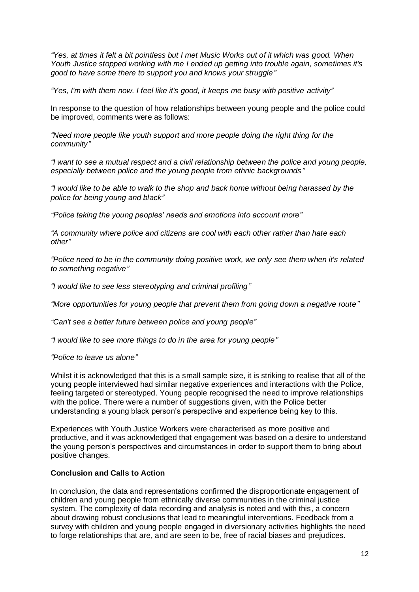*"Yes, at times it felt a bit pointless but I met Music Works out of it which was good. When Youth Justice stopped working with me I ended up getting into trouble again, sometimes it's good to have some there to support you and knows your struggle"*

*"Yes, I'm with them now. I feel like it's good, it keeps me busy with positive activity"*

In response to the question of how relationships between young people and the police could be improved, comments were as follows:

*"Need more people like youth support and more people doing the right thing for the community"*

*"I want to see a mutual respect and a civil relationship between the police and young people, especially between police and the young people from ethnic backgrounds"*

*"I would like to be able to walk to the shop and back home without being harassed by the police for being young and black"*

*"Police taking the young peoples' needs and emotions into account more"*

*"A community where police and citizens are cool with each other rather than hate each other"*

*"Police need to be in the community doing positive work, we only see them when it's related to something negative"*

*"I would like to see less stereotyping and criminal profiling"*

*"More opportunities for young people that prevent them from going down a negative route"*

*"Can't see a better future between police and young people"*

*"I would like to see more things to do in the area for young people"*

*"Police to leave us alone"*

Whilst it is acknowledged that this is a small sample size, it is striking to realise that all of the young people interviewed had similar negative experiences and interactions with the Police, feeling targeted or stereotyped. Young people recognised the need to improve relationships with the police. There were a number of suggestions given, with the Police better understanding a young black person's perspective and experience being key to this.

Experiences with Youth Justice Workers were characterised as more positive and productive, and it was acknowledged that engagement was based on a desire to understand the young person's perspectives and circumstances in order to support them to bring about positive changes.

# **Conclusion and Calls to Action**

In conclusion, the data and representations confirmed the disproportionate engagement of children and young people from ethnically diverse communities in the criminal justice system. The complexity of data recording and analysis is noted and with this, a concern about drawing robust conclusions that lead to meaningful interventions. Feedback from a survey with children and young people engaged in diversionary activities highlights the need to forge relationships that are, and are seen to be, free of racial biases and prejudices.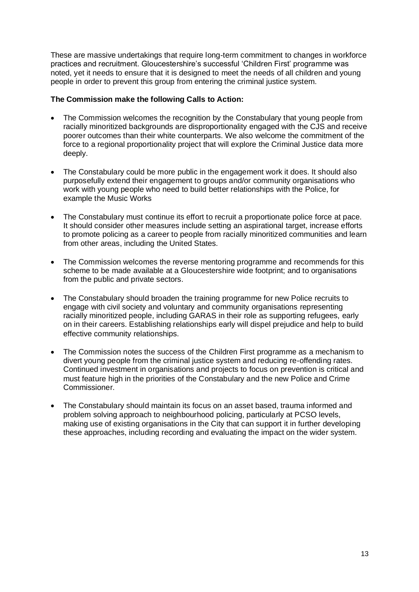These are massive undertakings that require long-term commitment to changes in workforce practices and recruitment. Gloucestershire's successful 'Children First' programme was noted, yet it needs to ensure that it is designed to meet the needs of all children and young people in order to prevent this group from entering the criminal justice system.

#### **The Commission make the following Calls to Action:**

- The Commission welcomes the recognition by the Constabulary that young people from racially minoritized backgrounds are disproportionality engaged with the CJS and receive poorer outcomes than their white counterparts. We also welcome the commitment of the force to a regional proportionality project that will explore the Criminal Justice data more deeply.
- The Constabulary could be more public in the engagement work it does. It should also purposefully extend their engagement to groups and/or community organisations who work with young people who need to build better relationships with the Police, for example the Music Works
- The Constabulary must continue its effort to recruit a proportionate police force at pace. It should consider other measures include setting an aspirational target, increase efforts to promote policing as a career to people from racially minoritized communities and learn from other areas, including the United States.
- The Commission welcomes the reverse mentoring programme and recommends for this scheme to be made available at a Gloucestershire wide footprint; and to organisations from the public and private sectors.
- The Constabulary should broaden the training programme for new Police recruits to engage with civil society and voluntary and community organisations representing racially minoritized people, including GARAS in their role as supporting refugees, early on in their careers. Establishing relationships early will dispel prejudice and help to build effective community relationships.
- The Commission notes the success of the Children First programme as a mechanism to divert young people from the criminal justice system and reducing re-offending rates. Continued investment in organisations and projects to focus on prevention is critical and must feature high in the priorities of the Constabulary and the new Police and Crime Commissioner.
- The Constabulary should maintain its focus on an asset based, trauma informed and problem solving approach to neighbourhood policing, particularly at PCSO levels, making use of existing organisations in the City that can support it in further developing these approaches, including recording and evaluating the impact on the wider system.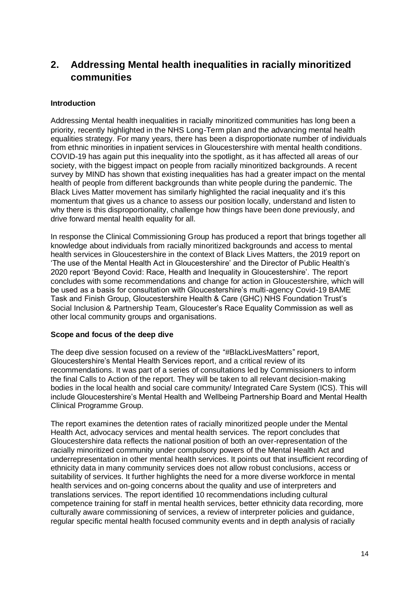# <span id="page-16-0"></span>**2. Addressing Mental health inequalities in racially minoritized communities**

# **Introduction**

Addressing Mental health inequalities in racially minoritized communities has long been a priority, recently highlighted in the NHS Long-Term plan and the advancing mental health equalities strategy. For many years, there has been a disproportionate number of individuals from ethnic minorities in inpatient services in Gloucestershire with mental health conditions. COVID-19 has again put this inequality into the spotlight, as it has affected all areas of our society, with the biggest impact on people from racially minoritized backgrounds. A recent survey by MIND has shown that existing inequalities has had a greater impact on the mental health of people from different backgrounds than white people during the pandemic. The Black Lives Matter movement has similarly highlighted the racial inequality and it's this momentum that gives us a chance to assess our position locally, understand and listen to why there is this disproportionality, challenge how things have been done previously, and drive forward mental health equality for all.

In response the Clinical Commissioning Group has produced a report that brings together all knowledge about individuals from racially minoritized backgrounds and access to mental health services in Gloucestershire in the context of Black Lives Matters, the 2019 report on 'The use of the Mental Health Act in Gloucestershire' and the Director of Public Health's 2020 report 'Beyond Covid: Race, Health and Inequality in Gloucestershire'. The report concludes with some recommendations and change for action in Gloucestershire, which will be used as a basis for consultation with Gloucestershire's multi-agency Covid-19 BAME Task and Finish Group, Gloucestershire Health & Care (GHC) NHS Foundation Trust's Social Inclusion & Partnership Team, Gloucester's Race Equality Commission as well as other local community groups and organisations.

#### **Scope and focus of the deep dive**

The deep dive session focused on a review of the "#BlackLivesMatters" report, Gloucestershire's Mental Health Services report, and a critical review of its recommendations. It was part of a series of consultations led by Commissioners to inform the final Calls to Action of the report. They will be taken to all relevant decision-making bodies in the local health and social care community/ Integrated Care System (ICS). This will include Gloucestershire's Mental Health and Wellbeing Partnership Board and Mental Health Clinical Programme Group.

The report examines the detention rates of racially minoritized people under the Mental Health Act, advocacy services and mental health services. The report concludes that Gloucestershire data reflects the national position of both an over-representation of the racially minoritized community under compulsory powers of the Mental Health Act and underrepresentation in other mental health services. It points out that insufficient recording of ethnicity data in many community services does not allow robust conclusions, access or suitability of services. It further highlights the need for a more diverse workforce in mental health services and on-going concerns about the quality and use of interpreters and translations services. The report identified 10 recommendations including cultural competence training for staff in mental health services, better ethnicity data recording, more culturally aware commissioning of services, a review of interpreter policies and guidance, regular specific mental health focused community events and in depth analysis of racially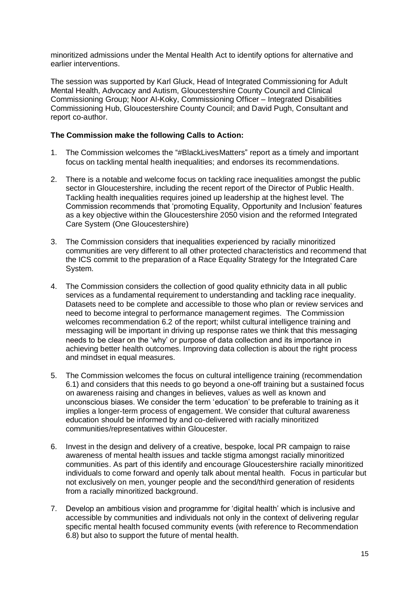minoritized admissions under the Mental Health Act to identify options for alternative and earlier interventions.

The session was supported by Karl Gluck, Head of Integrated Commissioning for Adult Mental Health, Advocacy and Autism, Gloucestershire County Council and Clinical Commissioning Group; Noor Al-Koky, Commissioning Officer – Integrated Disabilities Commissioning Hub, Gloucestershire County Council; and David Pugh, Consultant and report co-author.

### **The Commission make the following Calls to Action:**

- 1. The Commission welcomes the "#BlackLivesMatters" report as a timely and important focus on tackling mental health inequalities; and endorses its recommendations.
- 2. There is a notable and welcome focus on tackling race inequalities amongst the public sector in Gloucestershire, including the recent report of the Director of Public Health. Tackling health inequalities requires joined up leadership at the highest level. The Commission recommends that 'promoting Equality, Opportunity and Inclusion' features as a key objective within the Gloucestershire 2050 vision and the reformed Integrated Care System (One Gloucestershire)
- 3. The Commission considers that inequalities experienced by racially minoritized communities are very different to all other protected characteristics and recommend that the ICS commit to the preparation of a Race Equality Strategy for the Integrated Care System.
- 4. The Commission considers the collection of good quality ethnicity data in all public services as a fundamental requirement to understanding and tackling race inequality. Datasets need to be complete and accessible to those who plan or review services and need to become integral to performance management regimes. The Commission welcomes recommendation 6.2 of the report; whilst cultural intelligence training and messaging will be important in driving up response rates we think that this messaging needs to be clear on the 'why' or purpose of data collection and its importance in achieving better health outcomes. Improving data collection is about the right process and mindset in equal measures.
- 5. The Commission welcomes the focus on cultural intelligence training (recommendation 6.1) and considers that this needs to go beyond a one-off training but a sustained focus on awareness raising and changes in believes, values as well as known and unconscious biases. We consider the term 'education' to be preferable to training as it implies a longer-term process of engagement. We consider that cultural awareness education should be informed by and co-delivered with racially minoritized communities/representatives within Gloucester.
- 6. Invest in the design and delivery of a creative, bespoke, local PR campaign to raise awareness of mental health issues and tackle stigma amongst racially minoritized communities. As part of this identify and encourage Gloucestershire racially minoritized individuals to come forward and openly talk about mental health. Focus in particular but not exclusively on men, younger people and the second/third generation of residents from a racially minoritized background.
- 7. Develop an ambitious vision and programme for 'digital health' which is inclusive and accessible by communities and individuals not only in the context of delivering regular specific mental health focused community events (with reference to Recommendation 6.8) but also to support the future of mental health.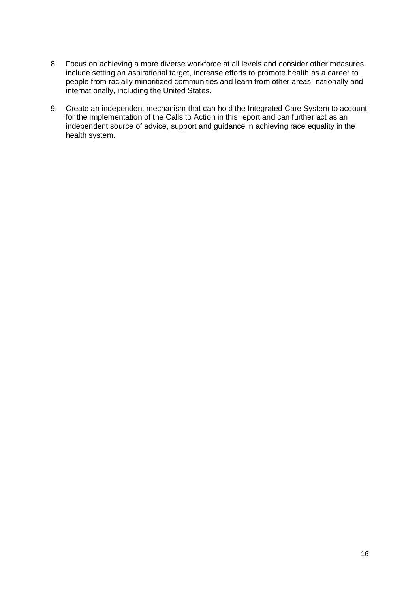- 8. Focus on achieving a more diverse workforce at all levels and consider other measures include setting an aspirational target, increase efforts to promote health as a career to people from racially minoritized communities and learn from other areas, nationally and internationally, including the United States.
- 9. Create an independent mechanism that can hold the Integrated Care System to account for the implementation of the Calls to Action in this report and can further act as an independent source of advice, support and guidance in achieving race equality in the health system.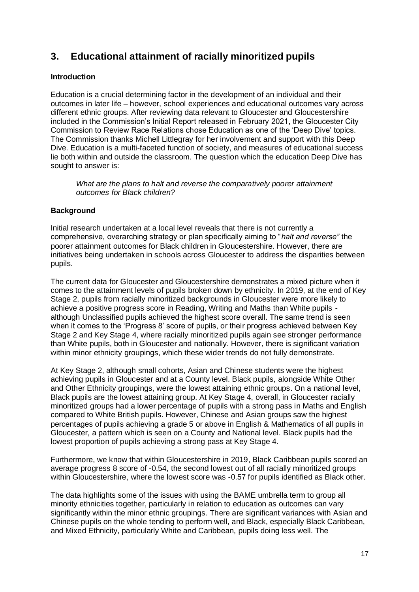# <span id="page-19-0"></span>**3. Educational attainment of racially minoritized pupils**

# **Introduction**

Education is a crucial determining factor in the development of an individual and their outcomes in later life – however, school experiences and educational outcomes vary across different ethnic groups. After reviewing data relevant to Gloucester and Gloucestershire included in the Commission's Initial Report released in February 2021, the Gloucester City Commission to Review Race Relations chose Education as one of the 'Deep Dive' topics. The Commission thanks Michell Littlegray for her involvement and support with this Deep Dive. Education is a multi-faceted function of society, and measures of educational success lie both within and outside the classroom. The question which the education Deep Dive has sought to answer is:

*What are the plans to halt and reverse the comparatively poorer attainment outcomes for Black children?*

# **Background**

Initial research undertaken at a local level reveals that there is not currently a comprehensive, overarching strategy or plan specifically aiming to "*halt and reverse"* the poorer attainment outcomes for Black children in Gloucestershire. However, there are initiatives being undertaken in schools across Gloucester to address the disparities between pupils.

The current data for Gloucester and Gloucestershire demonstrates a mixed picture when it comes to the attainment levels of pupils broken down by ethnicity. In 2019, at the end of Key Stage 2, pupils from racially minoritized backgrounds in Gloucester were more likely to achieve a positive progress score in Reading, Writing and Maths than White pupils although Unclassified pupils achieved the highest score overall. The same trend is seen when it comes to the 'Progress 8' score of pupils, or their progress achieved between Key Stage 2 and Key Stage 4, where racially minoritized pupils again see stronger performance than White pupils, both in Gloucester and nationally. However, there is significant variation within minor ethnicity groupings, which these wider trends do not fully demonstrate.

At Key Stage 2, although small cohorts, Asian and Chinese students were the highest achieving pupils in Gloucester and at a County level. Black pupils, alongside White Other and Other Ethnicity groupings, were the lowest attaining ethnic groups. On a national level, Black pupils are the lowest attaining group. At Key Stage 4, overall, in Gloucester racially minoritized groups had a lower percentage of pupils with a strong pass in Maths and English compared to White British pupils. However, Chinese and Asian groups saw the highest percentages of pupils achieving a grade 5 or above in English & Mathematics of all pupils in Gloucester, a pattern which is seen on a County and National level. Black pupils had the lowest proportion of pupils achieving a strong pass at Key Stage 4.

Furthermore, we know that within Gloucestershire in 2019, Black Caribbean pupils scored an average progress 8 score of -0.54, the second lowest out of all racially minoritized groups within Gloucestershire, where the lowest score was -0.57 for pupils identified as Black other.

The data highlights some of the issues with using the BAME umbrella term to group all minority ethnicities together, particularly in relation to education as outcomes can vary significantly within the minor ethnic groupings. There are significant variances with Asian and Chinese pupils on the whole tending to perform well, and Black, especially Black Caribbean, and Mixed Ethnicity, particularly White and Caribbean, pupils doing less well. The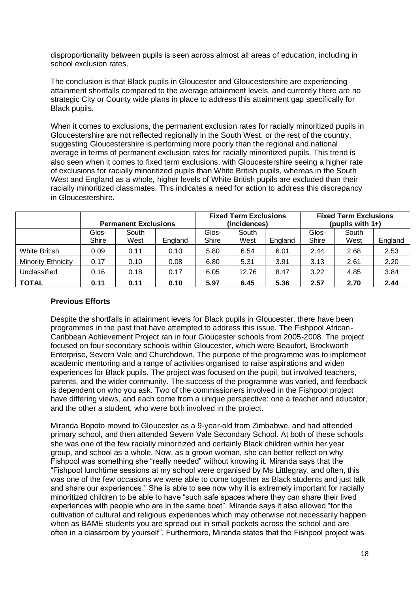disproportionality between pupils is seen across almost all areas of education, including in school exclusion rates.

The conclusion is that Black pupils in Gloucester and Gloucestershire are experiencing attainment shortfalls compared to the average attainment levels, and currently there are no strategic City or County wide plans in place to address this attainment gap specifically for Black pupils.

When it comes to exclusions, the permanent exclusion rates for racially minoritized pupils in Gloucestershire are not reflected regionally in the South West, or the rest of the country, suggesting Gloucestershire is performing more poorly than the regional and national average in terms of permanent exclusion rates for racially minoritized pupils. This trend is also seen when it comes to fixed term exclusions, with Gloucestershire seeing a higher rate of exclusions for racially minoritized pupils than White British pupils, whereas in the South West and England as a whole, higher levels of White British pupils are excluded than their racially minoritized classmates. This indicates a need for action to address this discrepancy in Gloucestershire.

|                    | <b>Permanent Exclusions</b> |               |         | <b>Fixed Term Exclusions</b><br>(incidences) |               |         | <b>Fixed Term Exclusions</b><br>(pupils with 1+) |               |         |
|--------------------|-----------------------------|---------------|---------|----------------------------------------------|---------------|---------|--------------------------------------------------|---------------|---------|
|                    | Glos-<br>Shire              | South<br>West | England | Glos-<br>Shire                               | South<br>West | England | Glos-<br>Shire                                   | South<br>West | England |
| White British      | 0.09                        | 0.11          | 0.10    | 5.80                                         | 6.54          | 6.01    | 2.44                                             | 2.68          | 2.53    |
| Minority Ethnicity | 0.17                        | 0.10          | 0.08    | 6.80                                         | 5.31          | 3.91    | 3.13                                             | 2.61          | 2.20    |
| Unclassified       | 0.16                        | 0.18          | 0.17    | 6.05                                         | 12.76         | 8.47    | 3.22                                             | 4.85          | 3.84    |
| <b>TOTAL</b>       | 0.11                        | 0.11          | 0.10    | 5.97                                         | 6.45          | 5.36    | 2.57                                             | 2.70          | 2.44    |

#### **Previous Efforts**

Despite the shortfalls in attainment levels for Black pupils in Gloucester, there have been programmes in the past that have attempted to address this issue. The Fishpool African-Caribbean Achievement Project ran in four Gloucester schools from 2005-2008. The project focused on four secondary schools within Gloucester, which were Beaufort, Brockworth Enterprise, Severn Vale and Churchdown. The purpose of the programme was to implement academic mentoring and a range of activities organised to raise aspirations and widen experiences for Black pupils. The project was focused on the pupil, but involved teachers, parents, and the wider community. The success of the programme was varied, and feedback is dependent on who you ask. Two of the commissioners involved in the Fishpool project have differing views, and each come from a unique perspective: one a teacher and educator, and the other a student, who were both involved in the project.

Miranda Bopoto moved to Gloucester as a 9-year-old from Zimbabwe, and had attended primary school, and then attended Severn Vale Secondary School. At both of these schools she was one of the few racially minoritized and certainly Black children within her year group, and school as a whole. Now, as a grown woman, she can better reflect on why Fishpool was something she "really needed" without knowing it. Miranda says that the "Fishpool lunchtime sessions at my school were organised by Ms Littlegray, and often, this was one of the few occasions we were able to come together as Black students and just talk and share our experiences." She is able to see now why it is extremely important for racially minoritized children to be able to have "such safe spaces where they can share their lived experiences with people who are in the same boat". Miranda says it also allowed "for the cultivation of cultural and religious experiences which may otherwise not necessarily happen when as BAME students you are spread out in small pockets across the school and are often in a classroom by yourself". Furthermore, Miranda states that the Fishpool project was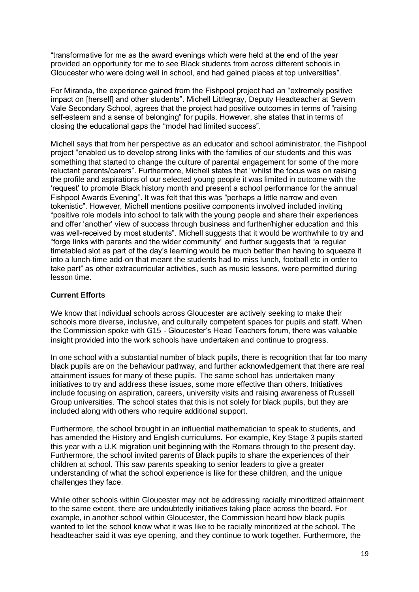"transformative for me as the award evenings which were held at the end of the year provided an opportunity for me to see Black students from across different schools in Gloucester who were doing well in school, and had gained places at top universities".

For Miranda, the experience gained from the Fishpool project had an "extremely positive impact on [herself] and other students". Michell Littlegray, Deputy Headteacher at Severn Vale Secondary School, agrees that the project had positive outcomes in terms of "raising self-esteem and a sense of belonging" for pupils. However, she states that in terms of closing the educational gaps the "model had limited success".

Michell says that from her perspective as an educator and school administrator, the Fishpool project "enabled us to develop strong links with the families of our students and this was something that started to change the culture of parental engagement for some of the more reluctant parents/carers". Furthermore, Michell states that "whilst the focus was on raising the profile and aspirations of our selected young people it was limited in outcome with the 'request' to promote Black history month and present a school performance for the annual Fishpool Awards Evening". It was felt that this was "perhaps a little narrow and even tokenistic". However, Michell mentions positive components involved included inviting "positive role models into school to talk with the young people and share their experiences and offer 'another' view of success through business and further/higher education and this was well-received by most students". Michell suggests that it would be worthwhile to try and "forge links with parents and the wider community" and further suggests that "a regular timetabled slot as part of the day's learning would be much better than having to squeeze it into a lunch-time add-on that meant the students had to miss lunch, football etc in order to take part" as other extracurricular activities, such as music lessons, were permitted during lesson time.

# **Current Efforts**

We know that individual schools across Gloucester are actively seeking to make their schools more diverse, inclusive, and culturally competent spaces for pupils and staff. When the Commission spoke with G15 - Gloucester's Head Teachers forum, there was valuable insight provided into the work schools have undertaken and continue to progress.

In one school with a substantial number of black pupils, there is recognition that far too many black pupils are on the behaviour pathway, and further acknowledgement that there are real attainment issues for many of these pupils. The same school has undertaken many initiatives to try and address these issues, some more effective than others. Initiatives include focusing on aspiration, careers, university visits and raising awareness of Russell Group universities. The school states that this is not solely for black pupils, but they are included along with others who require additional support.

Furthermore, the school brought in an influential mathematician to speak to students, and has amended the History and English curriculums. For example, Key Stage 3 pupils started this year with a U.K migration unit beginning with the Romans through to the present day. Furthermore, the school invited parents of Black pupils to share the experiences of their children at school. This saw parents speaking to senior leaders to give a greater understanding of what the school experience is like for these children, and the unique challenges they face.

While other schools within Gloucester may not be addressing racially minoritized attainment to the same extent, there are undoubtedly initiatives taking place across the board. For example, in another school within Gloucester, the Commission heard how black pupils wanted to let the school know what it was like to be racially minoritized at the school. The headteacher said it was eye opening, and they continue to work together. Furthermore, the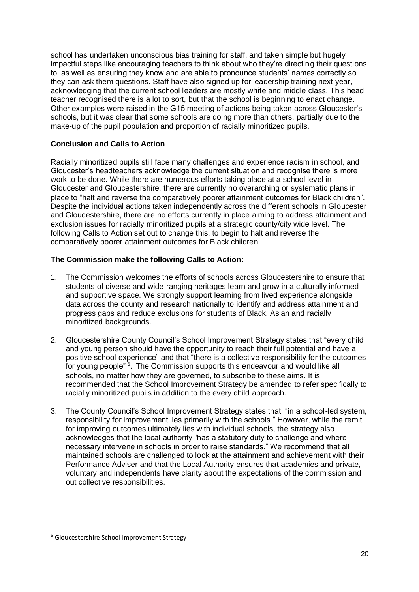school has undertaken unconscious bias training for staff, and taken simple but hugely impactful steps like encouraging teachers to think about who they're directing their questions to, as well as ensuring they know and are able to pronounce students' names correctly so they can ask them questions. Staff have also signed up for leadership training next year, acknowledging that the current school leaders are mostly white and middle class. This head teacher recognised there is a lot to sort, but that the school is beginning to enact change. Other examples were raised in the G15 meeting of actions being taken across Gloucester's schools, but it was clear that some schools are doing more than others, partially due to the make-up of the pupil population and proportion of racially minoritized pupils.

# **Conclusion and Calls to Action**

Racially minoritized pupils still face many challenges and experience racism in school, and Gloucester's headteachers acknowledge the current situation and recognise there is more work to be done. While there are numerous efforts taking place at a school level in Gloucester and Gloucestershire, there are currently no overarching or systematic plans in place to "halt and reverse the comparatively poorer attainment outcomes for Black children". Despite the individual actions taken independently across the different schools in Gloucester and Gloucestershire, there are no efforts currently in place aiming to address attainment and exclusion issues for racially minoritized pupils at a strategic county/city wide level. The following Calls to Action set out to change this, to begin to halt and reverse the comparatively poorer attainment outcomes for Black children.

# **The Commission make the following Calls to Action:**

- 1. The Commission welcomes the efforts of schools across Gloucestershire to ensure that students of diverse and wide-ranging heritages learn and grow in a culturally informed and supportive space. We strongly support learning from lived experience alongside data across the county and research nationally to identify and address attainment and progress gaps and reduce exclusions for students of Black, Asian and racially minoritized backgrounds.
- 2. Gloucestershire County Council's School Improvement Strategy states that "every child and young person should have the opportunity to reach their full potential and have a positive school experience" and that "there is a collective responsibility for the outcomes for young people"<sup>6</sup>. The Commission supports this endeavour and would like all schools, no matter how they are governed, to subscribe to these aims. It is recommended that the School Improvement Strategy be amended to refer specifically to racially minoritized pupils in addition to the every child approach.
- 3. The County Council's School Improvement Strategy states that, "in a school-led system, responsibility for improvement lies primarily with the schools." However, while the remit for improving outcomes ultimately lies with individual schools, the strategy also acknowledges that the local authority "has a statutory duty to challenge and where necessary intervene in schools in order to raise standards." We recommend that all maintained schools are challenged to look at the attainment and achievement with their Performance Adviser and that the Local Authority ensures that academies and private, voluntary and independents have clarity about the expectations of the commission and out collective responsibilities.

<sup>6</sup> Gloucestershire School Improvement Strategy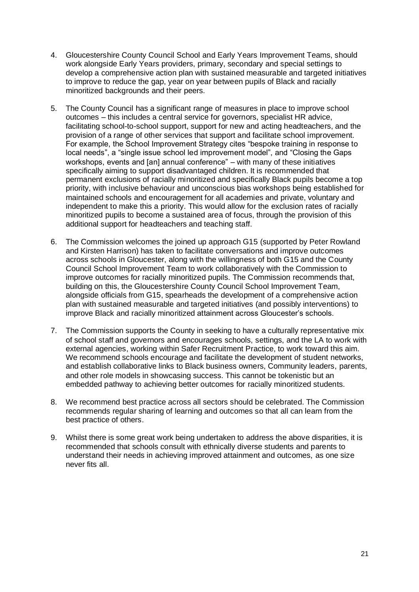- 4. Gloucestershire County Council School and Early Years Improvement Teams, should work alongside Early Years providers, primary, secondary and special settings to develop a comprehensive action plan with sustained measurable and targeted initiatives to improve to reduce the gap, year on year between pupils of Black and racially minoritized backgrounds and their peers.
- 5. The County Council has a significant range of measures in place to improve school outcomes – this includes a central service for governors, specialist HR advice, facilitating school-to-school support, support for new and acting headteachers, and the provision of a range of other services that support and facilitate school improvement. For example, the School Improvement Strategy cites "bespoke training in response to local needs", a "single issue school led improvement model", and "Closing the Gaps workshops, events and [an] annual conference" – with many of these initiatives specifically aiming to support disadvantaged children. It is recommended that permanent exclusions of racially minoritized and specifically Black pupils become a top priority, with inclusive behaviour and unconscious bias workshops being established for maintained schools and encouragement for all academies and private, voluntary and independent to make this a priority. This would allow for the exclusion rates of racially minoritized pupils to become a sustained area of focus, through the provision of this additional support for headteachers and teaching staff.
- 6. The Commission welcomes the joined up approach G15 (supported by Peter Rowland and Kirsten Harrison) has taken to facilitate conversations and improve outcomes across schools in Gloucester, along with the willingness of both G15 and the County Council School Improvement Team to work collaboratively with the Commission to improve outcomes for racially minoritized pupils. The Commission recommends that, building on this, the Gloucestershire County Council School Improvement Team, alongside officials from G15, spearheads the development of a comprehensive action plan with sustained measurable and targeted initiatives (and possibly interventions) to improve Black and racially minoritized attainment across Gloucester's schools.
- 7. The Commission supports the County in seeking to have a culturally representative mix of school staff and governors and encourages schools, settings, and the LA to work with external agencies, working within Safer Recruitment Practice, to work toward this aim. We recommend schools encourage and facilitate the development of student networks, and establish collaborative links to Black business owners, Community leaders, parents, and other role models in showcasing success. This cannot be tokenistic but an embedded pathway to achieving better outcomes for racially minoritized students.
- 8. We recommend best practice across all sectors should be celebrated. The Commission recommends regular sharing of learning and outcomes so that all can learn from the best practice of others.
- 9. Whilst there is some great work being undertaken to address the above disparities, it is recommended that schools consult with ethnically diverse students and parents to understand their needs in achieving improved attainment and outcomes, as one size never fits all.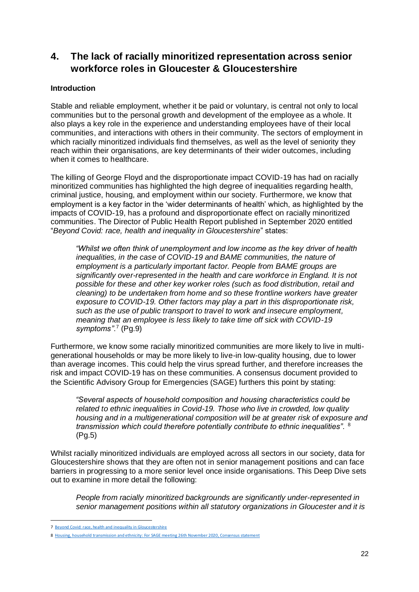# <span id="page-24-0"></span>**4. The lack of racially minoritized representation across senior workforce roles in Gloucester & Gloucestershire**

# **Introduction**

Stable and reliable employment, whether it be paid or voluntary, is central not only to local communities but to the personal growth and development of the employee as a whole. It also plays a key role in the experience and understanding employees have of their local communities, and interactions with others in their community. The sectors of employment in which racially minoritized individuals find themselves, as well as the level of seniority they reach within their organisations, are key determinants of their wider outcomes, including when it comes to healthcare.

The killing of George Floyd and the disproportionate impact COVID-19 has had on racially minoritized communities has highlighted the high degree of inequalities regarding health, criminal justice, housing, and employment within our society. Furthermore, we know that employment is a key factor in the 'wider determinants of health' which, as highlighted by the impacts of COVID-19, has a profound and disproportionate effect on racially minoritized communities. The Director of Public Health Report published in September 2020 entitled "*Beyond Covid: race, health and inequality in Gloucestershire*" states:

*"Whilst we often think of unemployment and low income as the key driver of health inequalities, in the case of COVID-19 and BAME communities, the nature of employment is a particularly important factor. People from BAME groups are significantly over-represented in the health and care workforce in England. It is not possible for these and other key worker roles (such as food distribution, retail and cleaning) to be undertaken from home and so these frontline workers have greater exposure to COVID-19. Other factors may play a part in this disproportionate risk, such as the use of public transport to travel to work and insecure employment, meaning that an employee is less likely to take time off sick with COVID-19 symptoms"*. 7 (Pg.9)

Furthermore, we know some racially minoritized communities are more likely to live in multigenerational households or may be more likely to live-in low-quality housing, due to lower than average incomes. This could help the virus spread further, and therefore increases the risk and impact COVID-19 has on these communities. A consensus document provided to the Scientific Advisory Group for Emergencies (SAGE) furthers this point by stating:

*"Several aspects of household composition and housing characteristics could be related to ethnic inequalities in Covid-19. Those who live in crowded, low quality housing and in a multigenerational composition will be at greater risk of exposure and transmission which could therefore potentially contribute to ethnic inequalities".* <sup>8</sup> (Pg.5)

Whilst racially minoritized individuals are employed across all sectors in our society, data for Gloucestershire shows that they are often not in senior management positions and can face barriers in progressing to a more senior level once inside organisations. This Deep Dive sets out to examine in more detail the following:

*People from racially minoritized backgrounds are significantly under-represented in senior management positions within all statutory organizations in Gloucester and it is* 

<sup>7</sup> [Beyond Covid: race, health and inequality in Gloucestershire](https://www.gloucestershire.gov.uk/media/2102344/dph-report-2020-beyond-covid-race-health-and-inequality-in-gloucestershire.pdf)

<sup>8</sup> [Housing, household transmission and ethnicity: For SAGE meeting 26th November 2020, Consensus statement](https://assets.publishing.service.gov.uk/government/uploads/system/uploads/attachment_data/file/943178/S0923_housing_household_transmission_and_ethnicity.pdf)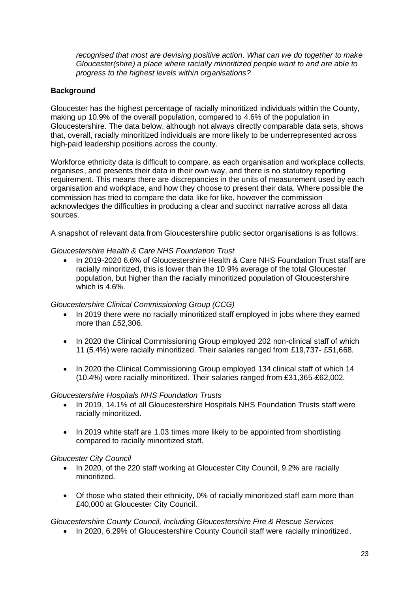*recognised that most are devising positive action. What can we do together to make Gloucester(shire) a place where racially minoritized people want to and are able to progress to the highest levels within organisations?*

# **Background**

Gloucester has the highest percentage of racially minoritized individuals within the County, making up 10.9% of the overall population, compared to 4.6% of the population in Gloucestershire. The data below, although not always directly comparable data sets, shows that, overall, racially minoritized individuals are more likely to be underrepresented across high-paid leadership positions across the county.

Workforce ethnicity data is difficult to compare, as each organisation and workplace collects, organises, and presents their data in their own way, and there is no statutory reporting requirement. This means there are discrepancies in the units of measurement used by each organisation and workplace, and how they choose to present their data. Where possible the commission has tried to compare the data like for like, however the commission acknowledges the difficulties in producing a clear and succinct narrative across all data sources.

A snapshot of relevant data from Gloucestershire public sector organisations is as follows:

#### *Gloucestershire Health & Care NHS Foundation Trust*

• In 2019-2020 6.6% of Gloucestershire Health & Care NHS Foundation Trust staff are racially minoritized, this is lower than the 10.9% average of the total Gloucester population, but higher than the racially minoritized population of Gloucestershire which is 4.6%.

#### *Gloucestershire Clinical Commissioning Group (CCG)*

- In 2019 there were no racially minoritized staff employed in jobs where they earned more than £52,306.
- In 2020 the Clinical Commissioning Group employed 202 non-clinical staff of which 11 (5.4%) were racially minoritized. Their salaries ranged from £19,737- £51,668.
- In 2020 the Clinical Commissioning Group employed 134 clinical staff of which 14 (10.4%) were racially minoritized. Their salaries ranged from £31,365-£62,002.

#### *Gloucestershire Hospitals NHS Foundation Trusts*

- In 2019, 14.1% of all Gloucestershire Hospitals NHS Foundation Trusts staff were racially minoritized.
- In 2019 white staff are 1.03 times more likely to be appointed from shortlisting compared to racially minoritized staff.

#### *Gloucester City Council*

- In 2020, of the 220 staff working at Gloucester City Council, 9.2% are racially minoritized.
- Of those who stated their ethnicity, 0% of racially minoritized staff earn more than £40,000 at Gloucester City Council.

#### *Gloucestershire County Council, Including Gloucestershire Fire & Rescue Services*

• In 2020, 6.29% of Gloucestershire County Council staff were racially minoritized.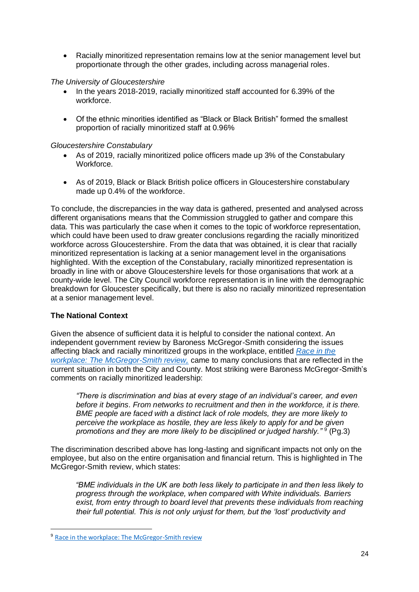• Racially minoritized representation remains low at the senior management level but proportionate through the other grades, including across managerial roles.

#### *The University of Gloucestershire*

- In the years 2018-2019, racially minoritized staff accounted for 6.39% of the workforce.
- Of the ethnic minorities identified as "Black or Black British" formed the smallest proportion of racially minoritized staff at 0.96%

#### *Gloucestershire Constabulary*

- As of 2019, racially minoritized police officers made up 3% of the Constabulary Workforce.
- As of 2019, Black or Black British police officers in Gloucestershire constabulary made up 0.4% of the workforce.

To conclude, the discrepancies in the way data is gathered, presented and analysed across different organisations means that the Commission struggled to gather and compare this data. This was particularly the case when it comes to the topic of workforce representation, which could have been used to draw greater conclusions regarding the racially minoritized workforce across Gloucestershire. From the data that was obtained, it is clear that racially minoritized representation is lacking at a senior management level in the organisations highlighted. With the exception of the Constabulary, racially minoritized representation is broadly in line with or above Gloucestershire levels for those organisations that work at a county-wide level. The City Council workforce representation is in line with the demographic breakdown for Gloucester specifically, but there is also no racially minoritized representation at a senior management level.

#### **The National Context**

Given the absence of sufficient data it is helpful to consider the national context. An independent government review by Baroness McGregor-Smith considering the issues affecting black and racially minoritized groups in the workplace, entitled *[Race in the](https://assets.publishing.service.gov.uk/government/uploads/system/uploads/attachment_data/file/594336/race-in-workplace-mcgregor-smith-review.pdf)  [workplace: The McGregor-Smith review,](https://assets.publishing.service.gov.uk/government/uploads/system/uploads/attachment_data/file/594336/race-in-workplace-mcgregor-smith-review.pdf)* came to many conclusions that are reflected in the current situation in both the City and County. Most striking were Baroness McGregor-Smith's comments on racially minoritized leadership:

*"There is discrimination and bias at every stage of an individual's career, and even before it begins. From networks to recruitment and then in the workforce, it is there. BME people are faced with a distinct lack of role models, they are more likely to perceive the workplace as hostile, they are less likely to apply for and be given*  promotions and they are more likely to be disciplined or judged harshly."<sup>9</sup> (Pg.3)

The discrimination described above has long-lasting and significant impacts not only on the employee, but also on the entire organisation and financial return. This is highlighted in The McGregor-Smith review, which states:

*"BME individuals in the UK are both less likely to participate in and then less likely to progress through the workplace, when compared with White individuals. Barriers*  exist, from entry through to board level that prevents these individuals from reaching *their full potential. This is not only unjust for them, but the 'lost' productivity and*

<sup>9</sup> [Race in the workplace: The McGregor-Smith review](https://assets.publishing.service.gov.uk/government/uploads/system/uploads/attachment_data/file/594336/race-in-workplace-mcgregor-smith-review.pdf)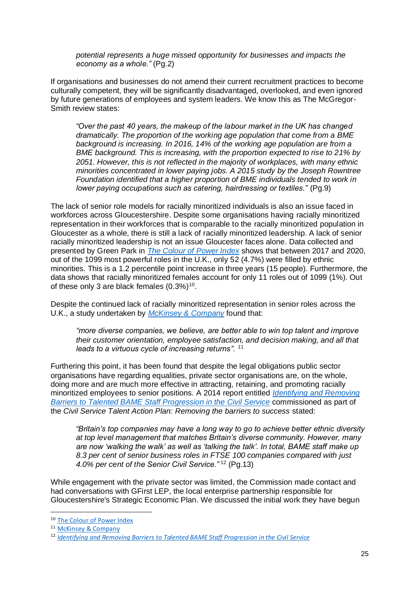*potential represents a huge missed opportunity for businesses and impacts the economy as a whole."* (Pg.2)

If organisations and businesses do not amend their current recruitment practices to become culturally competent, they will be significantly disadvantaged, overlooked, and even ignored by future generations of employees and system leaders. We know this as The McGregor-Smith review states:

*"Over the past 40 years, the makeup of the labour market in the UK has changed dramatically. The proportion of the working age population that come from a BME background is increasing. In 2016, 14% of the working age population are from a BME background. This is increasing, with the proportion expected to rise to 21% by 2051. However, this is not reflected in the majority of workplaces, with many ethnic minorities concentrated in lower paying jobs. A 2015 study by the Joseph Rowntree Foundation identified that a higher proportion of BME individuals tended to work in lower paying occupations such as catering, hairdressing or textiles."* (Pg.9)

The lack of senior role models for racially minoritized individuals is also an issue faced in workforces across Gloucestershire. Despite some organisations having racially minoritized representation in their workforces that is comparable to the racially minoritized population in Gloucester as a whole, there is still a lack of racially minoritized leadership. A lack of senior racially minoritized leadership is not an issue Gloucester faces alone. Data collected and presented by Green Park in *[The Colour of Power Index](https://thecolourofpower.com/)* shows that between 2017 and 2020, out of the 1099 most powerful roles in the U.K., only 52 (4.7%) were filled by ethnic minorities. This is a 1.2 percentile point increase in three years (15 people). Furthermore, the data shows that racially minoritized females account for only 11 roles out of 1099 (1%). Out of these only 3 are black females  $(0.3\%)^{10}$ .

Despite the continued lack of racially minoritized representation in senior roles across the U.K., a study undertaken by *[McKinsey & Company](https://www.mckinsey.com/business-functions/organization/our-insights/why-diversity-matters)* found that:

*"more diverse companies, we believe, are better able to win top talent and improve their customer orientation, employee satisfaction, and decision making, and all that leads to a virtuous cycle of increasing returns".* <sup>11</sup>

Furthering this point, it has been found that despite the legal obligations public sector organisations have regarding equalities, private sector organisations are, on the whole, doing more and are much more effective in attracting, retaining, and promoting racially minoritized employees to senior positions. A 2014 report entitled *[Identifying and Removing](https://assets.publishing.service.gov.uk/government/uploads/system/uploads/attachment_data/file/417250/Ethnic_Dimension_Blockages_to_Talented_BAME_staff_Progression_in_the_Civil_Service_Final_16.12.14__1_.pdf)  Barriers [to Talented BAME Staff Progression in the Civil Service](https://assets.publishing.service.gov.uk/government/uploads/system/uploads/attachment_data/file/417250/Ethnic_Dimension_Blockages_to_Talented_BAME_staff_Progression_in_the_Civil_Service_Final_16.12.14__1_.pdf)* commissioned as part of the *Civil Service Talent Action Plan: Removing the barriers to success* stated:

*"Britain's top companies may have a long way to go to achieve better ethnic diversity at top level management that matches Britain's diverse community. However, many are now 'walking the walk' as well as 'talking the talk'. In total, BAME staff make up 8.3 per cent of senior business roles in FTSE 100 companies compared with just 4.0% per cent of the Senior Civil Service."* <sup>12</sup> (Pg.13)

While engagement with the private sector was limited, the Commission made contact and had conversations with GFirst LEP, the local enterprise partnership responsible for Gloucestershire's Strategic Economic Plan. We discussed the initial work they have begun

<sup>10</sup> [The Colour of Power Index](https://thecolourofpower.com/)

<sup>&</sup>lt;sup>11</sup> [McKinsey & Company](https://www.mckinsey.com/business-functions/organization/our-insights/why-diversity-matters)

<sup>12</sup> *Identifying and Removing Barriers [to Talented BAME Staff Progression in the Civil Service](https://assets.publishing.service.gov.uk/government/uploads/system/uploads/attachment_data/file/417250/Ethnic_Dimension_Blockages_to_Talented_BAME_staff_Progression_in_the_Civil_Service_Final_16.12.14__1_.pdf)*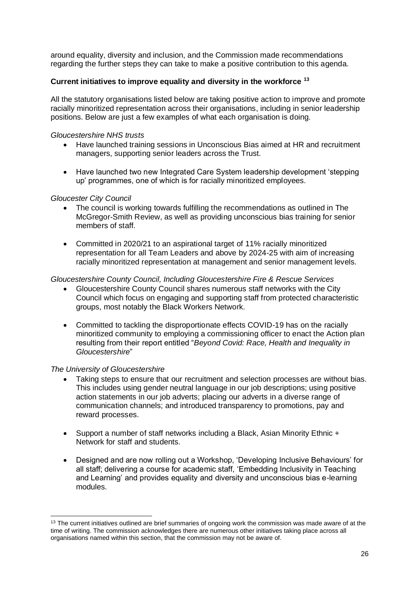around equality, diversity and inclusion, and the Commission made recommendations regarding the further steps they can take to make a positive contribution to this agenda.

# **Current initiatives to improve equality and diversity in the workforce <sup>13</sup>**

All the statutory organisations listed below are taking positive action to improve and promote racially minoritized representation across their organisations, including in senior leadership positions. Below are just a few examples of what each organisation is doing.

#### *Gloucestershire NHS trusts*

- Have launched training sessions in Unconscious Bias aimed at HR and recruitment managers, supporting senior leaders across the Trust.
- Have launched two new Integrated Care System leadership development 'stepping up' programmes, one of which is for racially minoritized employees.

#### *Gloucester City Council*

- The council is working towards fulfilling the recommendations as outlined in The McGregor-Smith Review, as well as providing unconscious bias training for senior members of staff.
- Committed in 2020/21 to an aspirational target of 11% racially minoritized representation for all Team Leaders and above by 2024-25 with aim of increasing racially minoritized representation at management and senior management levels.

#### *Gloucestershire County Council, Including Gloucestershire Fire & Rescue Services*

- Gloucestershire County Council shares numerous staff networks with the City Council which focus on engaging and supporting staff from protected characteristic groups, most notably the Black Workers Network.
- Committed to tackling the disproportionate effects COVID-19 has on the racially minoritized community to employing a commissioning officer to enact the Action plan resulting from their report entitled "*Beyond Covid: Race, Health and Inequality in Gloucestershire*"

#### *The University of Gloucestershire*

- Taking steps to ensure that our recruitment and selection processes are without bias. This includes using gender neutral language in our job descriptions; using positive action statements in our job adverts; placing our adverts in a diverse range of communication channels; and introduced transparency to promotions, pay and reward processes.
- Support a number of staff networks including a Black, Asian Minority Ethnic + Network for staff and students.
- Designed and are now rolling out a Workshop, 'Developing Inclusive Behaviours' for all staff; delivering a course for academic staff, 'Embedding Inclusivity in Teaching and Learning' and provides equality and diversity and unconscious bias e-learning modules.

<sup>&</sup>lt;sup>13</sup> The current initiatives outlined are brief summaries of ongoing work the commission was made aware of at the time of writing. The commission acknowledges there are numerous other initiatives taking place across all organisations named within this section, that the commission may not be aware of.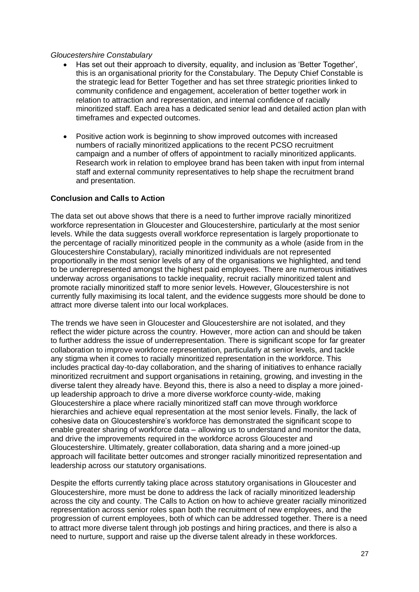#### *Gloucestershire Constabulary*

- Has set out their approach to diversity, equality, and inclusion as 'Better Together', this is an organisational priority for the Constabulary. The Deputy Chief Constable is the strategic lead for Better Together and has set three strategic priorities linked to community confidence and engagement, acceleration of better together work in relation to attraction and representation, and internal confidence of racially minoritized staff. Each area has a dedicated senior lead and detailed action plan with timeframes and expected outcomes.
- Positive action work is beginning to show improved outcomes with increased numbers of racially minoritized applications to the recent PCSO recruitment campaign and a number of offers of appointment to racially minoritized applicants. Research work in relation to employee brand has been taken with input from internal staff and external community representatives to help shape the recruitment brand and presentation.

#### **Conclusion and Calls to Action**

The data set out above shows that there is a need to further improve racially minoritized workforce representation in Gloucester and Gloucestershire, particularly at the most senior levels. While the data suggests overall workforce representation is largely proportionate to the percentage of racially minoritized people in the community as a whole (aside from in the Gloucestershire Constabulary), racially minoritized individuals are not represented proportionally in the most senior levels of any of the organisations we highlighted, and tend to be underrepresented amongst the highest paid employees. There are numerous initiatives underway across organisations to tackle inequality, recruit racially minoritized talent and promote racially minoritized staff to more senior levels. However, Gloucestershire is not currently fully maximising its local talent, and the evidence suggests more should be done to attract more diverse talent into our local workplaces.

The trends we have seen in Gloucester and Gloucestershire are not isolated, and they reflect the wider picture across the country. However, more action can and should be taken to further address the issue of underrepresentation. There is significant scope for far greater collaboration to improve workforce representation, particularly at senior levels, and tackle any stigma when it comes to racially minoritized representation in the workforce. This includes practical day-to-day collaboration, and the sharing of initiatives to enhance racially minoritized recruitment and support organisations in retaining, growing, and investing in the diverse talent they already have. Beyond this, there is also a need to display a more joinedup leadership approach to drive a more diverse workforce county-wide, making Gloucestershire a place where racially minoritized staff can move through workforce hierarchies and achieve equal representation at the most senior levels. Finally, the lack of cohesive data on Gloucestershire's workforce has demonstrated the significant scope to enable greater sharing of workforce data – allowing us to understand and monitor the data, and drive the improvements required in the workforce across Gloucester and Gloucestershire. Ultimately, greater collaboration, data sharing and a more joined-up approach will facilitate better outcomes and stronger racially minoritized representation and leadership across our statutory organisations.

Despite the efforts currently taking place across statutory organisations in Gloucester and Gloucestershire, more must be done to address the lack of racially minoritized leadership across the city and county. The Calls to Action on how to achieve greater racially minoritized representation across senior roles span both the recruitment of new employees, and the progression of current employees, both of which can be addressed together. There is a need to attract more diverse talent through job postings and hiring practices, and there is also a need to nurture, support and raise up the diverse talent already in these workforces.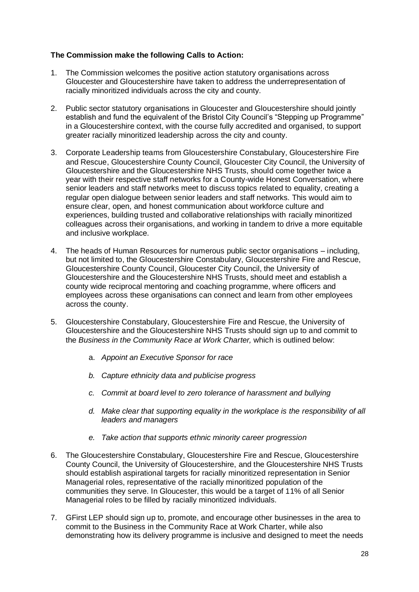# **The Commission make the following Calls to Action:**

- 1. The Commission welcomes the positive action statutory organisations across Gloucester and Gloucestershire have taken to address the underrepresentation of racially minoritized individuals across the city and county.
- 2. Public sector statutory organisations in Gloucester and Gloucestershire should jointly establish and fund the equivalent of the Bristol City Council's "Stepping up Programme" in a Gloucestershire context, with the course fully accredited and organised, to support greater racially minoritized leadership across the city and county.
- 3. Corporate Leadership teams from Gloucestershire Constabulary, Gloucestershire Fire and Rescue, Gloucestershire County Council, Gloucester City Council, the University of Gloucestershire and the Gloucestershire NHS Trusts, should come together twice a year with their respective staff networks for a County-wide Honest Conversation, where senior leaders and staff networks meet to discuss topics related to equality, creating a regular open dialogue between senior leaders and staff networks. This would aim to ensure clear, open, and honest communication about workforce culture and experiences, building trusted and collaborative relationships with racially minoritized colleagues across their organisations, and working in tandem to drive a more equitable and inclusive workplace.
- 4. The heads of Human Resources for numerous public sector organisations including, but not limited to, the Gloucestershire Constabulary, Gloucestershire Fire and Rescue, Gloucestershire County Council, Gloucester City Council, the University of Gloucestershire and the Gloucestershire NHS Trusts, should meet and establish a county wide reciprocal mentoring and coaching programme, where officers and employees across these organisations can connect and learn from other employees across the county.
- 5. Gloucestershire Constabulary, Gloucestershire Fire and Rescue, the University of Gloucestershire and the Gloucestershire NHS Trusts should sign up to and commit to the *Business in the Community Race at Work Charter,* which is outlined below:
	- a. *Appoint an Executive Sponsor for race*
	- *b. Capture ethnicity data and publicise progress*
	- *c. Commit at board level to zero tolerance of harassment and bullying*
	- *d. Make clear that supporting equality in the workplace is the responsibility of all leaders and managers*
	- *e. Take action that supports ethnic minority career progression*
- 6. The Gloucestershire Constabulary, Gloucestershire Fire and Rescue, Gloucestershire County Council, the University of Gloucestershire, and the Gloucestershire NHS Trusts should establish aspirational targets for racially minoritized representation in Senior Managerial roles, representative of the racially minoritized population of the communities they serve. In Gloucester, this would be a target of 11% of all Senior Managerial roles to be filled by racially minoritized individuals.
- 7. GFirst LEP should sign up to, promote, and encourage other businesses in the area to commit to the Business in the Community Race at Work Charter, while also demonstrating how its delivery programme is inclusive and designed to meet the needs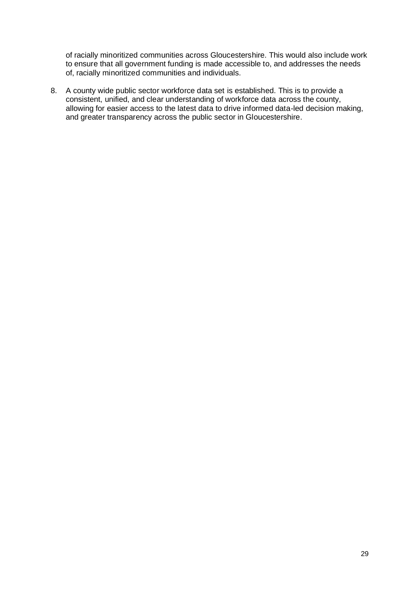of racially minoritized communities across Gloucestershire. This would also include work to ensure that all government funding is made accessible to, and addresses the needs of, racially minoritized communities and individuals.

8. A county wide public sector workforce data set is established. This is to provide a consistent, unified, and clear understanding of workforce data across the county, allowing for easier access to the latest data to drive informed data-led decision making, and greater transparency across the public sector in Gloucestershire.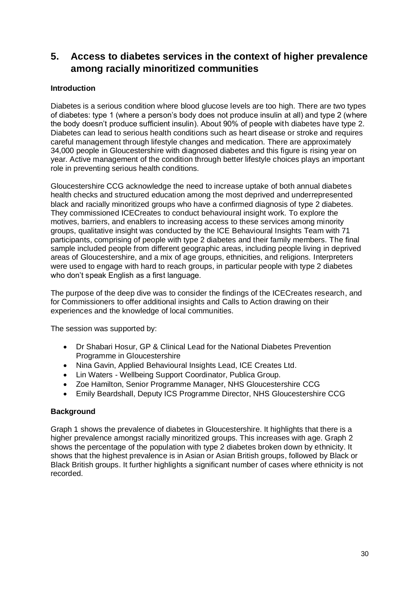# <span id="page-32-0"></span>**5. Access to diabetes services in the context of higher prevalence among racially minoritized communities**

# **Introduction**

Diabetes is a serious condition where blood glucose levels are too high. There are two types of diabetes: type 1 (where a person's body does not produce insulin at all) and type 2 (where the body doesn't produce sufficient insulin). About 90% of people with diabetes have type 2. Diabetes can lead to serious health conditions such as heart disease or stroke and requires careful management through lifestyle changes and medication. There are approximately 34,000 people in Gloucestershire with diagnosed diabetes and this figure is rising year on year. Active management of the condition through better lifestyle choices plays an important role in preventing serious health conditions.

Gloucestershire CCG acknowledge the need to increase uptake of both annual diabetes health checks and structured education among the most deprived and underrepresented black and racially minoritized groups who have a confirmed diagnosis of type 2 diabetes. They commissioned ICECreates to conduct behavioural insight work. To explore the motives, barriers, and enablers to increasing access to these services among minority groups, qualitative insight was conducted by the ICE Behavioural Insights Team with 71 participants, comprising of people with type 2 diabetes and their family members. The final sample included people from different geographic areas, including people living in deprived areas of Gloucestershire, and a mix of age groups, ethnicities, and religions. Interpreters were used to engage with hard to reach groups, in particular people with type 2 diabetes who don't speak English as a first language.

The purpose of the deep dive was to consider the findings of the ICECreates research, and for Commissioners to offer additional insights and Calls to Action drawing on their experiences and the knowledge of local communities.

The session was supported by:

- Dr Shabari Hosur, GP & Clinical Lead for the National Diabetes Prevention Programme in Gloucestershire
- Nina Gavin, Applied Behavioural Insights Lead, ICE Creates Ltd.
- Lin Waters Wellbeing Support Coordinator, Publica Group.
- Zoe Hamilton, Senior Programme Manager, NHS Gloucestershire CCG
- Emily Beardshall, Deputy ICS Programme Director, NHS Gloucestershire CCG

#### **Background**

Graph 1 shows the prevalence of diabetes in Gloucestershire. It highlights that there is a higher prevalence amongst racially minoritized groups. This increases with age. Graph 2 shows the percentage of the population with type 2 diabetes broken down by ethnicity. It shows that the highest prevalence is in Asian or Asian British groups, followed by Black or Black British groups. It further highlights a significant number of cases where ethnicity is not recorded.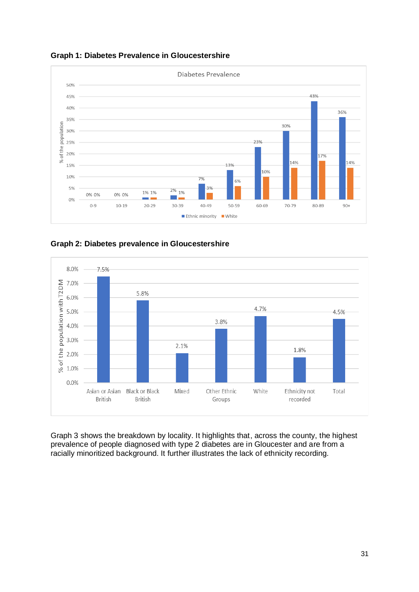**Graph 1: Diabetes Prevalence in Gloucestershire**



**Graph 2: Diabetes prevalence in Gloucestershire**



Graph 3 shows the breakdown by locality. It highlights that, across the county, the highest prevalence of people diagnosed with type 2 diabetes are in Gloucester and are from a racially minoritized background. It further illustrates the lack of ethnicity recording.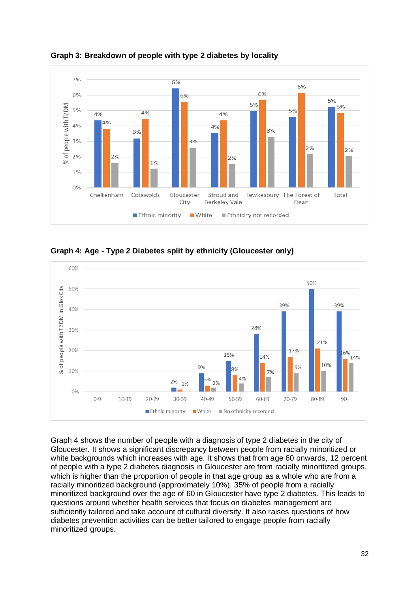

**Graph 3: Breakdown of people with type 2 diabetes by locality**

**Graph 4: Age - Type 2 Diabetes split by ethnicity (Gloucester only)**



Graph 4 shows the number of people with a diagnosis of type 2 diabetes in the city of Gloucester. It shows a significant discrepancy between people from racially minoritized or white backgrounds which increases with age. It shows that from age 60 onwards, 12 percent of people with a type 2 diabetes diagnosis in Gloucester are from racially minoritized groups, which is higher than the proportion of people in that age group as a whole who are from a racially minoritized background (approximately 10%). 35% of people from a racially minoritized background over the age of 60 in Gloucester have type 2 diabetes. This leads to questions around whether health services that focus on diabetes management are sufficiently tailored and take account of cultural diversity. It also raises questions of how diabetes prevention activities can be better tailored to engage people from racially minoritized groups.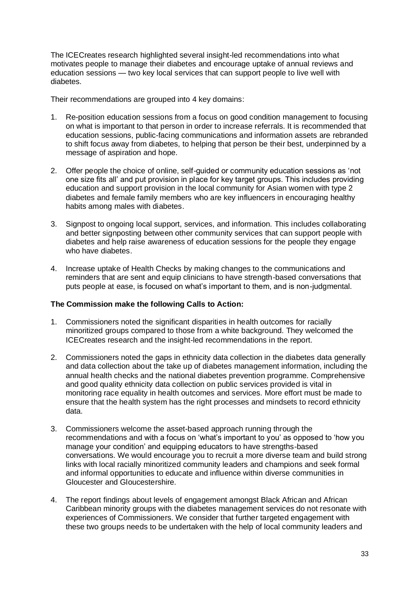The ICECreates research highlighted several insight-led recommendations into what motivates people to manage their diabetes and encourage uptake of annual reviews and education sessions — two key local services that can support people to live well with diabetes.

Their recommendations are grouped into 4 key domains:

- 1. Re-position education sessions from a focus on good condition management to focusing on what is important to that person in order to increase referrals. It is recommended that education sessions, public-facing communications and information assets are rebranded to shift focus away from diabetes, to helping that person be their best, underpinned by a message of aspiration and hope.
- 2. Offer people the choice of online, self-guided or community education sessions as 'not one size fits all' and put provision in place for key target groups. This includes providing education and support provision in the local community for Asian women with type 2 diabetes and female family members who are key influencers in encouraging healthy habits among males with diabetes.
- 3. Signpost to ongoing local support, services, and information. This includes collaborating and better signposting between other community services that can support people with diabetes and help raise awareness of education sessions for the people they engage who have diabetes.
- 4. Increase uptake of Health Checks by making changes to the communications and reminders that are sent and equip clinicians to have strength-based conversations that puts people at ease, is focused on what's important to them, and is non-judgmental.

#### **The Commission make the following Calls to Action:**

- 1. Commissioners noted the significant disparities in health outcomes for racially minoritized groups compared to those from a white background. They welcomed the ICECreates research and the insight-led recommendations in the report.
- 2. Commissioners noted the gaps in ethnicity data collection in the diabetes data generally and data collection about the take up of diabetes management information, including the annual health checks and the national diabetes prevention programme. Comprehensive and good quality ethnicity data collection on public services provided is vital in monitoring race equality in health outcomes and services. More effort must be made to ensure that the health system has the right processes and mindsets to record ethnicity data.
- 3. Commissioners welcome the asset-based approach running through the recommendations and with a focus on 'what's important to you' as opposed to 'how you manage your condition' and equipping educators to have strengths-based conversations. We would encourage you to recruit a more diverse team and build strong links with local racially minoritized community leaders and champions and seek formal and informal opportunities to educate and influence within diverse communities in Gloucester and Gloucestershire.
- 4. The report findings about levels of engagement amongst Black African and African Caribbean minority groups with the diabetes management services do not resonate with experiences of Commissioners. We consider that further targeted engagement with these two groups needs to be undertaken with the help of local community leaders and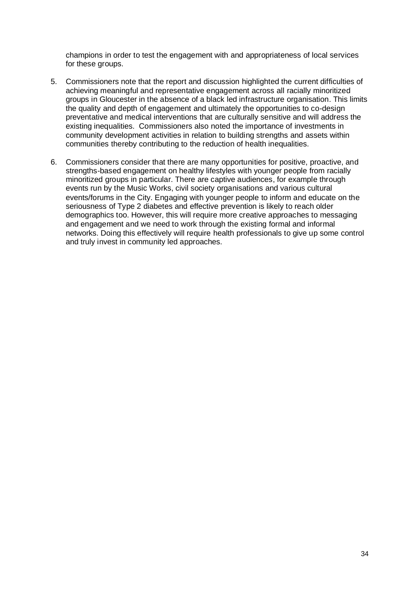champions in order to test the engagement with and appropriateness of local services for these groups.

- 5. Commissioners note that the report and discussion highlighted the current difficulties of achieving meaningful and representative engagement across all racially minoritized groups in Gloucester in the absence of a black led infrastructure organisation. This limits the quality and depth of engagement and ultimately the opportunities to co-design preventative and medical interventions that are culturally sensitive and will address the existing inequalities. Commissioners also noted the importance of investments in community development activities in relation to building strengths and assets within communities thereby contributing to the reduction of health inequalities.
- 6. Commissioners consider that there are many opportunities for positive, proactive, and strengths-based engagement on healthy lifestyles with younger people from racially minoritized groups in particular. There are captive audiences, for example through events run by the Music Works, civil society organisations and various cultural events/forums in the City. Engaging with younger people to inform and educate on the seriousness of Type 2 diabetes and effective prevention is likely to reach older demographics too. However, this will require more creative approaches to messaging and engagement and we need to work through the existing formal and informal networks. Doing this effectively will require health professionals to give up some control and truly invest in community led approaches.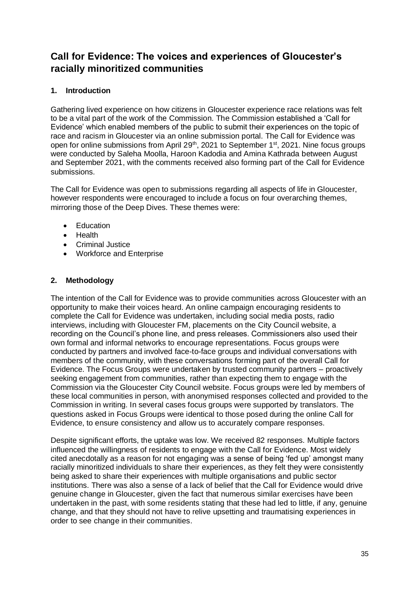# <span id="page-37-0"></span>**Call for Evidence: The voices and experiences of Gloucester's racially minoritized communities**

# <span id="page-37-1"></span>**1. Introduction**

Gathering lived experience on how citizens in Gloucester experience race relations was felt to be a vital part of the work of the Commission. The Commission established a 'Call for Evidence' which enabled members of the public to submit their experiences on the topic of race and racism in Gloucester via an online submission portal. The Call for Evidence was open for online submissions from April 29<sup>th</sup>, 2021 to September 1<sup>st</sup>, 2021. Nine focus groups were conducted by Saleha Moolla, Haroon Kadodia and Amina Kathrada between August and September 2021, with the comments received also forming part of the Call for Evidence submissions.

The Call for Evidence was open to submissions regarding all aspects of life in Gloucester, however respondents were encouraged to include a focus on four overarching themes, mirroring those of the Deep Dives. These themes were:

- Education
- Health
- Criminal Justice
- Workforce and Enterprise

# <span id="page-37-2"></span>**2. Methodology**

The intention of the Call for Evidence was to provide communities across Gloucester with an opportunity to make their voices heard. An online campaign encouraging residents to complete the Call for Evidence was undertaken, including social media posts, radio interviews, including with Gloucester FM, placements on the City Council website, a recording on the Council's phone line, and press releases. Commissioners also used their own formal and informal networks to encourage representations. Focus groups were conducted by partners and involved face-to-face groups and individual conversations with members of the community, with these conversations forming part of the overall Call for Evidence. The Focus Groups were undertaken by trusted community partners – proactively seeking engagement from communities, rather than expecting them to engage with the Commission via the Gloucester City Council website. Focus groups were led by members of these local communities in person, with anonymised responses collected and provided to the Commission in writing. In several cases focus groups were supported by translators. The questions asked in Focus Groups were identical to those posed during the online Call for Evidence, to ensure consistency and allow us to accurately compare responses.

Despite significant efforts, the uptake was low. We received 82 responses. Multiple factors influenced the willingness of residents to engage with the Call for Evidence. Most widely cited anecdotally as a reason for not engaging was a sense of being 'fed up' amongst many racially minoritized individuals to share their experiences, as they felt they were consistently being asked to share their experiences with multiple organisations and public sector institutions. There was also a sense of a lack of belief that the Call for Evidence would drive genuine change in Gloucester, given the fact that numerous similar exercises have been undertaken in the past, with some residents stating that these had led to little, if any, genuine change, and that they should not have to relive upsetting and traumatising experiences in order to see change in their communities.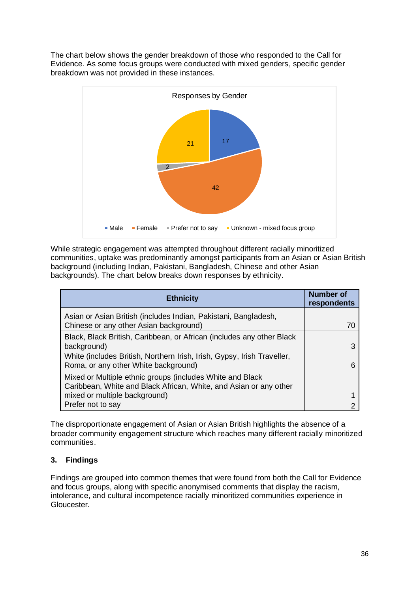The chart below shows the gender breakdown of those who responded to the Call for Evidence. As some focus groups were conducted with mixed genders, specific gender breakdown was not provided in these instances.



While strategic engagement was attempted throughout different racially minoritized communities, uptake was predominantly amongst participants from an Asian or Asian British background (including Indian, Pakistani, Bangladesh, Chinese and other Asian backgrounds). The chart below breaks down responses by ethnicity.

| <b>Ethnicity</b>                                                                                                               | Number of<br>respondents |
|--------------------------------------------------------------------------------------------------------------------------------|--------------------------|
| Asian or Asian British (includes Indian, Pakistani, Bangladesh,<br>Chinese or any other Asian background)                      | 70                       |
| Black, Black British, Caribbean, or African (includes any other Black<br>background)                                           |                          |
| White (includes British, Northern Irish, Irish, Gypsy, Irish Traveller,<br>Roma, or any other White background)                |                          |
| Mixed or Multiple ethnic groups (includes White and Black<br>Caribbean, White and Black African, White, and Asian or any other |                          |
| mixed or multiple background)                                                                                                  |                          |
| Prefer not to say                                                                                                              |                          |

The disproportionate engagement of Asian or Asian British highlights the absence of a broader community engagement structure which reaches many different racially minoritized communities.

# <span id="page-38-0"></span>**3. Findings**

Findings are grouped into common themes that were found from both the Call for Evidence and focus groups, along with specific anonymised comments that display the racism, intolerance, and cultural incompetence racially minoritized communities experience in Gloucester.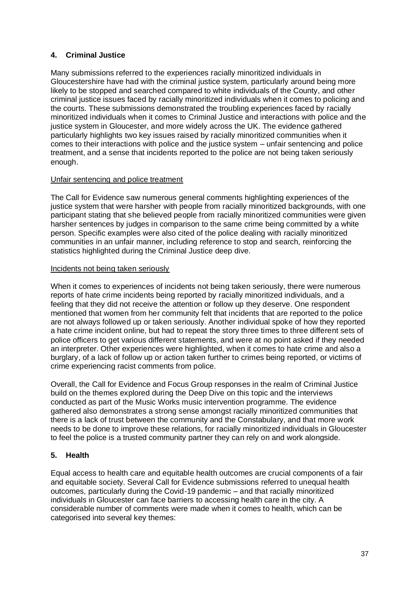# <span id="page-39-0"></span>**4. Criminal Justice**

Many submissions referred to the experiences racially minoritized individuals in Gloucestershire have had with the criminal justice system, particularly around being more likely to be stopped and searched compared to white individuals of the County, and other criminal justice issues faced by racially minoritized individuals when it comes to policing and the courts. These submissions demonstrated the troubling experiences faced by racially minoritized individuals when it comes to Criminal Justice and interactions with police and the justice system in Gloucester, and more widely across the UK. The evidence gathered particularly highlights two key issues raised by racially minoritized communities when it comes to their interactions with police and the justice system – unfair sentencing and police treatment, and a sense that incidents reported to the police are not being taken seriously enough.

# Unfair sentencing and police treatment

The Call for Evidence saw numerous general comments highlighting experiences of the justice system that were harsher with people from racially minoritized backgrounds, with one participant stating that she believed people from racially minoritized communities were given harsher sentences by judges in comparison to the same crime being committed by a white person. Specific examples were also cited of the police dealing with racially minoritized communities in an unfair manner, including reference to stop and search, reinforcing the statistics highlighted during the Criminal Justice deep dive.

# Incidents not being taken seriously

When it comes to experiences of incidents not being taken seriously, there were numerous reports of hate crime incidents being reported by racially minoritized individuals, and a feeling that they did not receive the attention or follow up they deserve. One respondent mentioned that women from her community felt that incidents that are reported to the police are not always followed up or taken seriously. Another individual spoke of how they reported a hate crime incident online, but had to repeat the story three times to three different sets of police officers to get various different statements, and were at no point asked if they needed an interpreter. Other experiences were highlighted, when it comes to hate crime and also a burglary, of a lack of follow up or action taken further to crimes being reported, or victims of crime experiencing racist comments from police.

Overall, the Call for Evidence and Focus Group responses in the realm of Criminal Justice build on the themes explored during the Deep Dive on this topic and the interviews conducted as part of the Music Works music intervention programme. The evidence gathered also demonstrates a strong sense amongst racially minoritized communities that there is a lack of trust between the community and the Constabulary, and that more work needs to be done to improve these relations, for racially minoritized individuals in Gloucester to feel the police is a trusted community partner they can rely on and work alongside.

# <span id="page-39-1"></span>**5. Health**

Equal access to health care and equitable health outcomes are crucial components of a fair and equitable society. Several Call for Evidence submissions referred to unequal health outcomes, particularly during the Covid-19 pandemic – and that racially minoritized individuals in Gloucester can face barriers to accessing health care in the city. A considerable number of comments were made when it comes to health, which can be categorised into several key themes: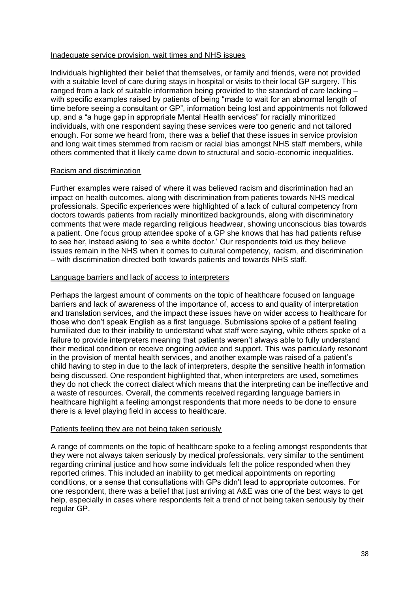#### Inadequate service provision, wait times and NHS issues

Individuals highlighted their belief that themselves, or family and friends, were not provided with a suitable level of care during stays in hospital or visits to their local GP surgery. This ranged from a lack of suitable information being provided to the standard of care lacking – with specific examples raised by patients of being "made to wait for an abnormal length of time before seeing a consultant or GP", information being lost and appointments not followed up, and a "a huge gap in appropriate Mental Health services" for racially minoritized individuals, with one respondent saying these services were too generic and not tailored enough. For some we heard from, there was a belief that these issues in service provision and long wait times stemmed from racism or racial bias amongst NHS staff members, while others commented that it likely came down to structural and socio-economic inequalities.

#### Racism and discrimination

Further examples were raised of where it was believed racism and discrimination had an impact on health outcomes, along with discrimination from patients towards NHS medical professionals. Specific experiences were highlighted of a lack of cultural competency from doctors towards patients from racially minoritized backgrounds, along with discriminatory comments that were made regarding religious headwear, showing unconscious bias towards a patient. One focus group attendee spoke of a GP she knows that has had patients refuse to see her, instead asking to 'see a white doctor.' Our respondents told us they believe issues remain in the NHS when it comes to cultural competency, racism, and discrimination – with discrimination directed both towards patients and towards NHS staff.

#### Language barriers and lack of access to interpreters

Perhaps the largest amount of comments on the topic of healthcare focused on language barriers and lack of awareness of the importance of, access to and quality of interpretation and translation services, and the impact these issues have on wider access to healthcare for those who don't speak English as a first language. Submissions spoke of a patient feeling humiliated due to their inability to understand what staff were saying, while others spoke of a failure to provide interpreters meaning that patients weren't always able to fully understand their medical condition or receive ongoing advice and support. This was particularly resonant in the provision of mental health services, and another example was raised of a patient's child having to step in due to the lack of interpreters, despite the sensitive health information being discussed. One respondent highlighted that, when interpreters are used, sometimes they do not check the correct dialect which means that the interpreting can be ineffective and a waste of resources. Overall, the comments received regarding language barriers in healthcare highlight a feeling amongst respondents that more needs to be done to ensure there is a level playing field in access to healthcare.

#### Patients feeling they are not being taken seriously

A range of comments on the topic of healthcare spoke to a feeling amongst respondents that they were not always taken seriously by medical professionals, very similar to the sentiment regarding criminal justice and how some individuals felt the police responded when they reported crimes. This included an inability to get medical appointments on reporting conditions, or a sense that consultations with GPs didn't lead to appropriate outcomes. For one respondent, there was a belief that just arriving at A&E was one of the best ways to get help, especially in cases where respondents felt a trend of not being taken seriously by their regular GP.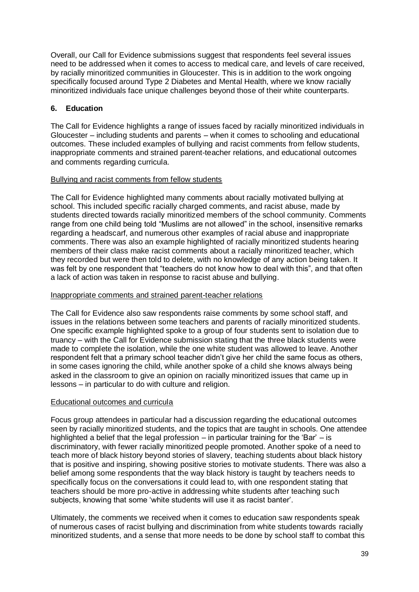Overall, our Call for Evidence submissions suggest that respondents feel several issues need to be addressed when it comes to access to medical care, and levels of care received, by racially minoritized communities in Gloucester. This is in addition to the work ongoing specifically focused around Type 2 Diabetes and Mental Health, where we know racially minoritized individuals face unique challenges beyond those of their white counterparts.

# <span id="page-41-0"></span>**6. Education**

The Call for Evidence highlights a range of issues faced by racially minoritized individuals in Gloucester – including students and parents – when it comes to schooling and educational outcomes. These included examples of bullying and racist comments from fellow students, inappropriate comments and strained parent-teacher relations, and educational outcomes and comments regarding curricula.

#### Bullying and racist comments from fellow students

The Call for Evidence highlighted many comments about racially motivated bullying at school. This included specific racially charged comments, and racist abuse, made by students directed towards racially minoritized members of the school community. Comments range from one child being told "Muslims are not allowed" in the school, insensitive remarks regarding a headscarf, and numerous other examples of racial abuse and inappropriate comments. There was also an example highlighted of racially minoritized students hearing members of their class make racist comments about a racially minoritized teacher, which they recorded but were then told to delete, with no knowledge of any action being taken. It was felt by one respondent that "teachers do not know how to deal with this", and that often a lack of action was taken in response to racist abuse and bullying.

#### Inappropriate comments and strained parent-teacher relations

The Call for Evidence also saw respondents raise comments by some school staff, and issues in the relations between some teachers and parents of racially minoritized students. One specific example highlighted spoke to a group of four students sent to isolation due to truancy – with the Call for Evidence submission stating that the three black students were made to complete the isolation, while the one white student was allowed to leave. Another respondent felt that a primary school teacher didn't give her child the same focus as others, in some cases ignoring the child, while another spoke of a child she knows always being asked in the classroom to give an opinion on racially minoritized issues that came up in lessons – in particular to do with culture and religion.

#### Educational outcomes and curricula

Focus group attendees in particular had a discussion regarding the educational outcomes seen by racially minoritized students, and the topics that are taught in schools. One attendee highlighted a belief that the legal profession – in particular training for the 'Bar' – is discriminatory, with fewer racially minoritized people promoted. Another spoke of a need to teach more of black history beyond stories of slavery, teaching students about black history that is positive and inspiring, showing positive stories to motivate students. There was also a belief among some respondents that the way black history is taught by teachers needs to specifically focus on the conversations it could lead to, with one respondent stating that teachers should be more pro-active in addressing white students after teaching such subjects, knowing that some 'white students will use it as racist banter'.

Ultimately, the comments we received when it comes to education saw respondents speak of numerous cases of racist bullying and discrimination from white students towards racially minoritized students, and a sense that more needs to be done by school staff to combat this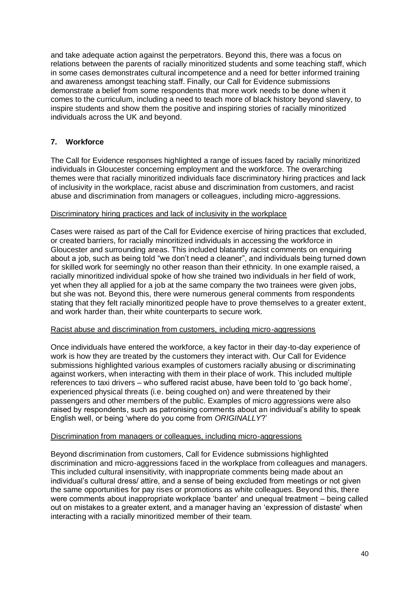and take adequate action against the perpetrators. Beyond this, there was a focus on relations between the parents of racially minoritized students and some teaching staff, which in some cases demonstrates cultural incompetence and a need for better informed training and awareness amongst teaching staff. Finally, our Call for Evidence submissions demonstrate a belief from some respondents that more work needs to be done when it comes to the curriculum, including a need to teach more of black history beyond slavery, to inspire students and show them the positive and inspiring stories of racially minoritized individuals across the UK and beyond.

# <span id="page-42-0"></span>**7. Workforce**

The Call for Evidence responses highlighted a range of issues faced by racially minoritized individuals in Gloucester concerning employment and the workforce. The overarching themes were that racially minoritized individuals face discriminatory hiring practices and lack of inclusivity in the workplace, racist abuse and discrimination from customers, and racist abuse and discrimination from managers or colleagues, including micro-aggressions.

#### Discriminatory hiring practices and lack of inclusivity in the workplace

Cases were raised as part of the Call for Evidence exercise of hiring practices that excluded, or created barriers, for racially minoritized individuals in accessing the workforce in Gloucester and surrounding areas. This included blatantly racist comments on enquiring about a job, such as being told "we don't need a cleaner", and individuals being turned down for skilled work for seemingly no other reason than their ethnicity. In one example raised, a racially minoritized individual spoke of how she trained two individuals in her field of work, yet when they all applied for a job at the same company the two trainees were given jobs, but she was not. Beyond this, there were numerous general comments from respondents stating that they felt racially minoritized people have to prove themselves to a greater extent, and work harder than, their white counterparts to secure work.

#### Racist abuse and discrimination from customers, including micro-aggressions

Once individuals have entered the workforce, a key factor in their day-to-day experience of work is how they are treated by the customers they interact with. Our Call for Evidence submissions highlighted various examples of customers racially abusing or discriminating against workers, when interacting with them in their place of work. This included multiple references to taxi drivers – who suffered racist abuse, have been told to 'go back home', experienced physical threats (i.e. being coughed on) and were threatened by their passengers and other members of the public. Examples of micro aggressions were also raised by respondents, such as patronising comments about an individual's ability to speak English well, or being 'where do you come from *ORIGINALLY*?'

#### Discrimination from managers or colleagues, including micro-aggressions

Beyond discrimination from customers, Call for Evidence submissions highlighted discrimination and micro-aggressions faced in the workplace from colleagues and managers. This included cultural insensitivity, with inappropriate comments being made about an individual's cultural dress/ attire, and a sense of being excluded from meetings or not given the same opportunities for pay rises or promotions as white colleagues. Beyond this, there were comments about inappropriate workplace 'banter' and unequal treatment – being called out on mistakes to a greater extent, and a manager having an 'expression of distaste' when interacting with a racially minoritized member of their team.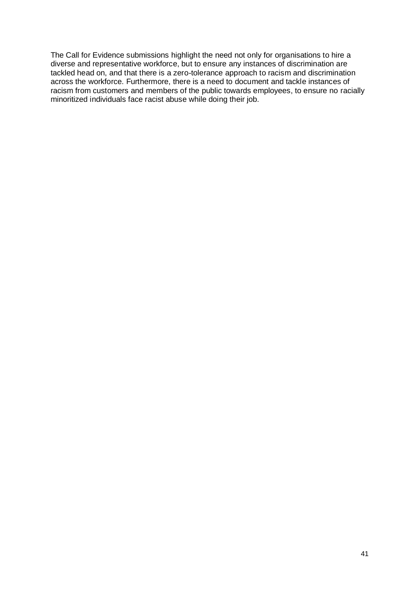The Call for Evidence submissions highlight the need not only for organisations to hire a diverse and representative workforce, but to ensure any instances of discrimination are tackled head on, and that there is a zero-tolerance approach to racism and discrimination across the workforce. Furthermore, there is a need to document and tackle instances of racism from customers and members of the public towards employees, to ensure no racially minoritized individuals face racist abuse while doing their job.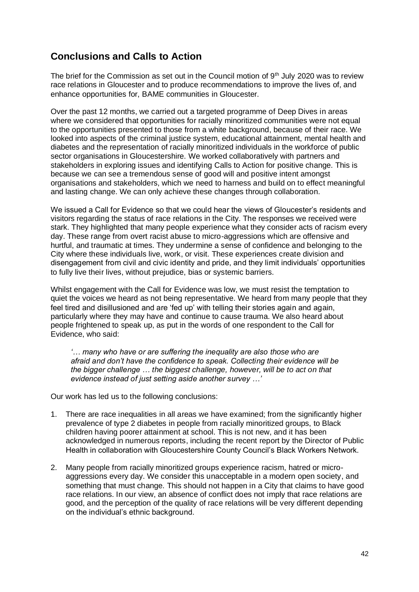# <span id="page-44-0"></span>**Conclusions and Calls to Action**

The brief for the Commission as set out in the Council motion of  $9<sup>th</sup>$  July 2020 was to review race relations in Gloucester and to produce recommendations to improve the lives of, and enhance opportunities for, BAME communities in Gloucester.

Over the past 12 months, we carried out a targeted programme of Deep Dives in areas where we considered that opportunities for racially minoritized communities were not equal to the opportunities presented to those from a white background, because of their race. We looked into aspects of the criminal justice system, educational attainment, mental health and diabetes and the representation of racially minoritized individuals in the workforce of public sector organisations in Gloucestershire. We worked collaboratively with partners and stakeholders in exploring issues and identifying Calls to Action for positive change. This is because we can see a tremendous sense of good will and positive intent amongst organisations and stakeholders, which we need to harness and build on to effect meaningful and lasting change. We can only achieve these changes through collaboration.

We issued a Call for Evidence so that we could hear the views of Gloucester's residents and visitors regarding the status of race relations in the City. The responses we received were stark. They highlighted that many people experience what they consider acts of racism every day. These range from overt racist abuse to micro-aggressions which are offensive and hurtful, and traumatic at times. They undermine a sense of confidence and belonging to the City where these individuals live, work, or visit. These experiences create division and disengagement from civil and civic identity and pride, and they limit individuals' opportunities to fully live their lives, without prejudice, bias or systemic barriers.

Whilst engagement with the Call for Evidence was low, we must resist the temptation to quiet the voices we heard as not being representative. We heard from many people that they feel tired and disillusioned and are 'fed up' with telling their stories again and again, particularly where they may have and continue to cause trauma. We also heard about people frightened to speak up, as put in the words of one respondent to the Call for Evidence, who said:

*'… many who have or are suffering the inequality are also those who are afraid and don't have the confidence to speak. Collecting their evidence will be the bigger challenge … the biggest challenge, however, will be to act on that evidence instead of just setting aside another survey …'*

Our work has led us to the following conclusions:

- 1. There are race inequalities in all areas we have examined; from the significantly higher prevalence of type 2 diabetes in people from racially minoritized groups, to Black children having poorer attainment at school. This is not new, and it has been acknowledged in numerous reports, including the recent report by the Director of Public Health in collaboration with Gloucestershire County Council's Black Workers Network.
- 2. Many people from racially minoritized groups experience racism, hatred or microaggressions every day. We consider this unacceptable in a modern open society, and something that must change. This should not happen in a City that claims to have good race relations. In our view, an absence of conflict does not imply that race relations are good, and the perception of the quality of race relations will be very different depending on the individual's ethnic background.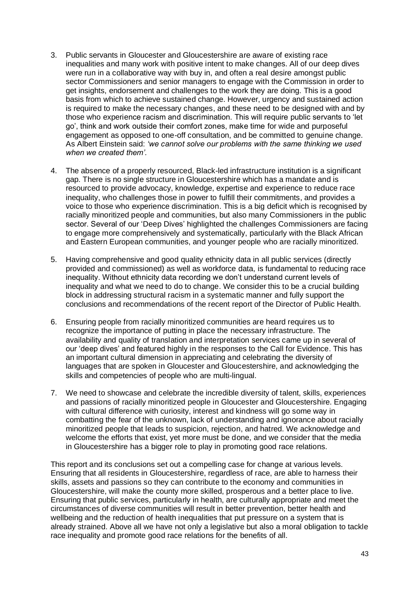- 3. Public servants in Gloucester and Gloucestershire are aware of existing race inequalities and many work with positive intent to make changes. All of our deep dives were run in a collaborative way with buy in, and often a real desire amongst public sector Commissioners and senior managers to engage with the Commission in order to get insights, endorsement and challenges to the work they are doing. This is a good basis from which to achieve sustained change. However, urgency and sustained action is required to make the necessary changes, and these need to be designed with and by those who experience racism and discrimination. This will require public servants to 'let go', think and work outside their comfort zones, make time for wide and purposeful engagement as opposed to one-off consultation, and be committed to genuine change. As Albert Einstein said: *'we cannot solve our problems with the same thinking we used when we created them'.*
- 4. The absence of a properly resourced, Black-led infrastructure institution is a significant gap. There is no single structure in Gloucestershire which has a mandate and is resourced to provide advocacy, knowledge, expertise and experience to reduce race inequality, who challenges those in power to fulfill their commitments, and provides a voice to those who experience discrimination. This is a big deficit which is recognised by racially minoritized people and communities, but also many Commissioners in the public sector. Several of our 'Deep Dives' highlighted the challenges Commissioners are facing to engage more comprehensively and systematically, particularly with the Black African and Eastern European communities, and younger people who are racially minoritized.
- 5. Having comprehensive and good quality ethnicity data in all public services (directly provided and commissioned) as well as workforce data, is fundamental to reducing race inequality. Without ethnicity data recording we don't understand current levels of inequality and what we need to do to change. We consider this to be a crucial building block in addressing structural racism in a systematic manner and fully support the conclusions and recommendations of the recent report of the Director of Public Health.
- 6. Ensuring people from racially minoritized communities are heard requires us to recognize the importance of putting in place the necessary infrastructure. The availability and quality of translation and interpretation services came up in several of our 'deep dives' and featured highly in the responses to the Call for Evidence. This has an important cultural dimension in appreciating and celebrating the diversity of languages that are spoken in Gloucester and Gloucestershire, and acknowledging the skills and competencies of people who are multi-lingual.
- 7. We need to showcase and celebrate the incredible diversity of talent, skills, experiences and passions of racially minoritized people in Gloucester and Gloucestershire. Engaging with cultural difference with curiosity, interest and kindness will go some way in combatting the fear of the unknown, lack of understanding and ignorance about racially minoritized people that leads to suspicion, rejection, and hatred. We acknowledge and welcome the efforts that exist, yet more must be done, and we consider that the media in Gloucestershire has a bigger role to play in promoting good race relations.

This report and its conclusions set out a compelling case for change at various levels. Ensuring that all residents in Gloucestershire, regardless of race, are able to harness their skills, assets and passions so they can contribute to the economy and communities in Gloucestershire, will make the county more skilled, prosperous and a better place to live. Ensuring that public services, particularly in health, are culturally appropriate and meet the circumstances of diverse communities will result in better prevention, better health and wellbeing and the reduction of health inequalities that put pressure on a system that is already strained. Above all we have not only a legislative but also a moral obligation to tackle race inequality and promote good race relations for the benefits of all.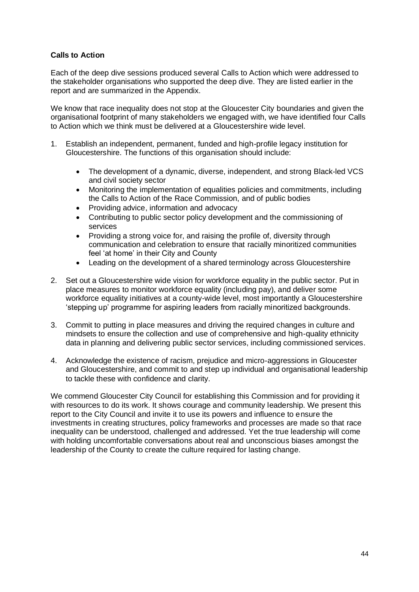# <span id="page-46-0"></span>**Calls to Action**

Each of the deep dive sessions produced several Calls to Action which were addressed to the stakeholder organisations who supported the deep dive. They are listed earlier in the report and are summarized in the Appendix.

We know that race inequality does not stop at the Gloucester City boundaries and given the organisational footprint of many stakeholders we engaged with, we have identified four Calls to Action which we think must be delivered at a Gloucestershire wide level.

- 1. Establish an independent, permanent, funded and high-profile legacy institution for Gloucestershire. The functions of this organisation should include:
	- The development of a dynamic, diverse, independent, and strong Black-led VCS and civil society sector
	- Monitoring the implementation of equalities policies and commitments, including the Calls to Action of the Race Commission, and of public bodies
	- Providing advice, information and advocacy
	- Contributing to public sector policy development and the commissioning of services
	- Providing a strong voice for, and raising the profile of, diversity through communication and celebration to ensure that racially minoritized communities feel 'at home' in their City and County
	- Leading on the development of a shared terminology across Gloucestershire
- 2. Set out a Gloucestershire wide vision for workforce equality in the public sector. Put in place measures to monitor workforce equality (including pay), and deliver some workforce equality initiatives at a county-wide level, most importantly a Gloucestershire 'stepping up' programme for aspiring leaders from racially minoritized backgrounds.
- 3. Commit to putting in place measures and driving the required changes in culture and mindsets to ensure the collection and use of comprehensive and high-quality ethnicity data in planning and delivering public sector services, including commissioned services.
- 4. Acknowledge the existence of racism, prejudice and micro-aggressions in Gloucester and Gloucestershire, and commit to and step up individual and organisational leadership to tackle these with confidence and clarity.

We commend Gloucester City Council for establishing this Commission and for providing it with resources to do its work. It shows courage and community leadership. We present this report to the City Council and invite it to use its powers and influence to ensure the investments in creating structures, policy frameworks and processes are made so that race inequality can be understood, challenged and addressed. Yet the true leadership will come with holding uncomfortable conversations about real and unconscious biases amongst the leadership of the County to create the culture required for lasting change.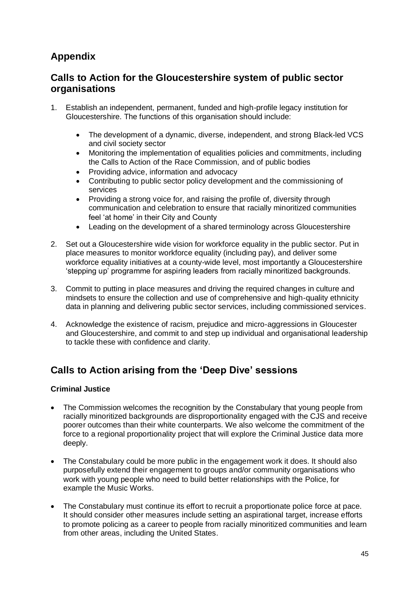# <span id="page-47-0"></span>**Appendix**

# **Calls to Action for the Gloucestershire system of public sector organisations**

- 1. Establish an independent, permanent, funded and high-profile legacy institution for Gloucestershire. The functions of this organisation should include:
	- The development of a dynamic, diverse, independent, and strong Black-led VCS and civil society sector
	- Monitoring the implementation of equalities policies and commitments, including the Calls to Action of the Race Commission, and of public bodies
	- Providing advice, information and advocacy
	- Contributing to public sector policy development and the commissioning of services
	- Providing a strong voice for, and raising the profile of, diversity through communication and celebration to ensure that racially minoritized communities feel 'at home' in their City and County
	- Leading on the development of a shared terminology across Gloucestershire
- 2. Set out a Gloucestershire wide vision for workforce equality in the public sector. Put in place measures to monitor workforce equality (including pay), and deliver some workforce equality initiatives at a county-wide level, most importantly a Gloucestershire 'stepping up' programme for aspiring leaders from racially minoritized backgrounds.
- 3. Commit to putting in place measures and driving the required changes in culture and mindsets to ensure the collection and use of comprehensive and high-quality ethnicity data in planning and delivering public sector services, including commissioned services.
- 4. Acknowledge the existence of racism, prejudice and micro-aggressions in Gloucester and Gloucestershire, and commit to and step up individual and organisational leadership to tackle these with confidence and clarity.

# **Calls to Action arising from the 'Deep Dive' sessions**

#### **Criminal Justice**

- The Commission welcomes the recognition by the Constabulary that young people from racially minoritized backgrounds are disproportionality engaged with the CJS and receive poorer outcomes than their white counterparts. We also welcome the commitment of the force to a regional proportionality project that will explore the Criminal Justice data more deeply.
- The Constabulary could be more public in the engagement work it does. It should also purposefully extend their engagement to groups and/or community organisations who work with young people who need to build better relationships with the Police, for example the Music Works.
- The Constabulary must continue its effort to recruit a proportionate police force at pace. It should consider other measures include setting an aspirational target, increase efforts to promote policing as a career to people from racially minoritized communities and learn from other areas, including the United States.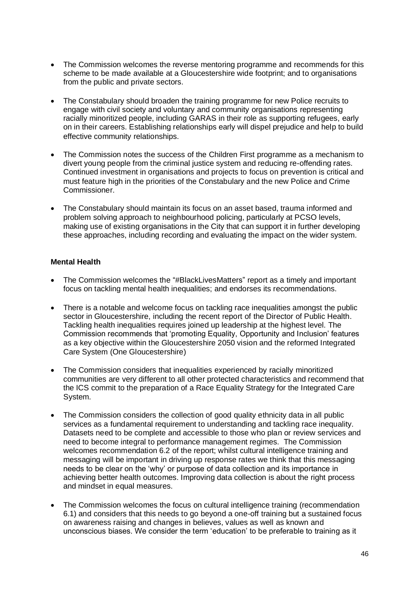- The Commission welcomes the reverse mentoring programme and recommends for this scheme to be made available at a Gloucestershire wide footprint; and to organisations from the public and private sectors.
- The Constabulary should broaden the training programme for new Police recruits to engage with civil society and voluntary and community organisations representing racially minoritized people, including GARAS in their role as supporting refugees, early on in their careers. Establishing relationships early will dispel prejudice and help to build effective community relationships.
- The Commission notes the success of the Children First programme as a mechanism to divert young people from the criminal justice system and reducing re-offending rates. Continued investment in organisations and projects to focus on prevention is critical and must feature high in the priorities of the Constabulary and the new Police and Crime Commissioner.
- The Constabulary should maintain its focus on an asset based, trauma informed and problem solving approach to neighbourhood policing, particularly at PCSO levels, making use of existing organisations in the City that can support it in further developing these approaches, including recording and evaluating the impact on the wider system.

# **Mental Health**

- The Commission welcomes the "#BlackLivesMatters" report as a timely and important focus on tackling mental health inequalities; and endorses its recommendations.
- There is a notable and welcome focus on tackling race inequalities amongst the public sector in Gloucestershire, including the recent report of the Director of Public Health. Tackling health inequalities requires joined up leadership at the highest level. The Commission recommends that 'promoting Equality, Opportunity and Inclusion' features as a key objective within the Gloucestershire 2050 vision and the reformed Integrated Care System (One Gloucestershire)
- The Commission considers that inequalities experienced by racially minoritized communities are very different to all other protected characteristics and recommend that the ICS commit to the preparation of a Race Equality Strategy for the Integrated Care System.
- The Commission considers the collection of good quality ethnicity data in all public services as a fundamental requirement to understanding and tackling race inequality. Datasets need to be complete and accessible to those who plan or review services and need to become integral to performance management regimes. The Commission welcomes recommendation 6.2 of the report; whilst cultural intelligence training and messaging will be important in driving up response rates we think that this messaging needs to be clear on the 'why' or purpose of data collection and its importance in achieving better health outcomes. Improving data collection is about the right process and mindset in equal measures.
- The Commission welcomes the focus on cultural intelligence training (recommendation 6.1) and considers that this needs to go beyond a one-off training but a sustained focus on awareness raising and changes in believes, values as well as known and unconscious biases. We consider the term 'education' to be preferable to training as it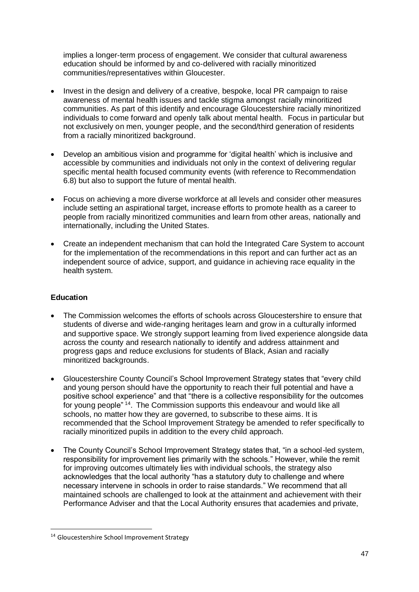implies a longer-term process of engagement. We consider that cultural awareness education should be informed by and co-delivered with racially minoritized communities/representatives within Gloucester.

- Invest in the design and delivery of a creative, bespoke, local PR campaign to raise awareness of mental health issues and tackle stigma amongst racially minoritized communities. As part of this identify and encourage Gloucestershire racially minoritized individuals to come forward and openly talk about mental health. Focus in particular but not exclusively on men, younger people, and the second/third generation of residents from a racially minoritized background.
- Develop an ambitious vision and programme for 'digital health' which is inclusive and accessible by communities and individuals not only in the context of delivering regular specific mental health focused community events (with reference to Recommendation 6.8) but also to support the future of mental health.
- Focus on achieving a more diverse workforce at all levels and consider other measures include setting an aspirational target, increase efforts to promote health as a career to people from racially minoritized communities and learn from other areas, nationally and internationally, including the United States.
- Create an independent mechanism that can hold the Integrated Care System to account for the implementation of the recommendations in this report and can further act as an independent source of advice, support, and guidance in achieving race equality in the health system.

# **Education**

- The Commission welcomes the efforts of schools across Gloucestershire to ensure that students of diverse and wide-ranging heritages learn and grow in a culturally informed and supportive space. We strongly support learning from lived experience alongside data across the county and research nationally to identify and address attainment and progress gaps and reduce exclusions for students of Black, Asian and racially minoritized backgrounds.
- Gloucestershire County Council's School Improvement Strategy states that "every child and young person should have the opportunity to reach their full potential and have a positive school experience" and that "there is a collective responsibility for the outcomes for young people"<sup>14</sup>. The Commission supports this endeavour and would like all schools, no matter how they are governed, to subscribe to these aims. It is recommended that the School Improvement Strategy be amended to refer specifically to racially minoritized pupils in addition to the every child approach.
- The County Council's School Improvement Strategy states that, "in a school-led system, responsibility for improvement lies primarily with the schools." However, while the remit for improving outcomes ultimately lies with individual schools, the strategy also acknowledges that the local authority "has a statutory duty to challenge and where necessary intervene in schools in order to raise standards." We recommend that all maintained schools are challenged to look at the attainment and achievement with their Performance Adviser and that the Local Authority ensures that academies and private,

<sup>14</sup> Gloucestershire School Improvement Strategy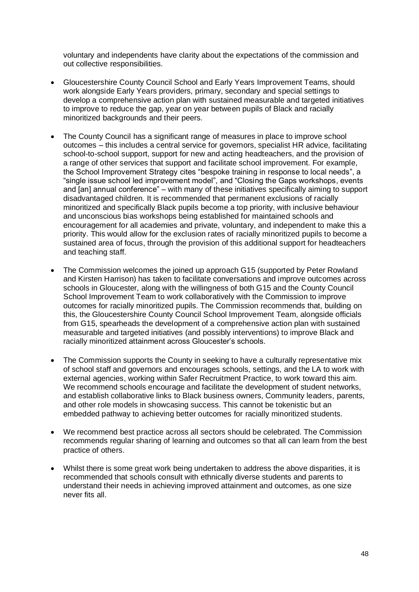voluntary and independents have clarity about the expectations of the commission and out collective responsibilities.

- Gloucestershire County Council School and Early Years Improvement Teams, should work alongside Early Years providers, primary, secondary and special settings to develop a comprehensive action plan with sustained measurable and targeted initiatives to improve to reduce the gap, year on year between pupils of Black and racially minoritized backgrounds and their peers.
- The County Council has a significant range of measures in place to improve school outcomes – this includes a central service for governors, specialist HR advice, facilitating school-to-school support, support for new and acting headteachers, and the provision of a range of other services that support and facilitate school improvement. For example, the School Improvement Strategy cites "bespoke training in response to local needs", a "single issue school led improvement model", and "Closing the Gaps workshops, events and [an] annual conference" – with many of these initiatives specifically aiming to support disadvantaged children. It is recommended that permanent exclusions of racially minoritized and specifically Black pupils become a top priority, with inclusive behaviour and unconscious bias workshops being established for maintained schools and encouragement for all academies and private, voluntary, and independent to make this a priority. This would allow for the exclusion rates of racially minoritized pupils to become a sustained area of focus, through the provision of this additional support for headteachers and teaching staff.
- The Commission welcomes the joined up approach G15 (supported by Peter Rowland and Kirsten Harrison) has taken to facilitate conversations and improve outcomes across schools in Gloucester, along with the willingness of both G15 and the County Council School Improvement Team to work collaboratively with the Commission to improve outcomes for racially minoritized pupils. The Commission recommends that, building on this, the Gloucestershire County Council School Improvement Team, alongside officials from G15, spearheads the development of a comprehensive action plan with sustained measurable and targeted initiatives (and possibly interventions) to improve Black and racially minoritized attainment across Gloucester's schools.
- The Commission supports the County in seeking to have a culturally representative mix of school staff and governors and encourages schools, settings, and the LA to work with external agencies, working within Safer Recruitment Practice, to work toward this aim. We recommend schools encourage and facilitate the development of student networks, and establish collaborative links to Black business owners, Community leaders, parents, and other role models in showcasing success. This cannot be tokenistic but an embedded pathway to achieving better outcomes for racially minoritized students.
- We recommend best practice across all sectors should be celebrated. The Commission recommends regular sharing of learning and outcomes so that all can learn from the best practice of others.
- Whilst there is some great work being undertaken to address the above disparities, it is recommended that schools consult with ethnically diverse students and parents to understand their needs in achieving improved attainment and outcomes, as one size never fits all.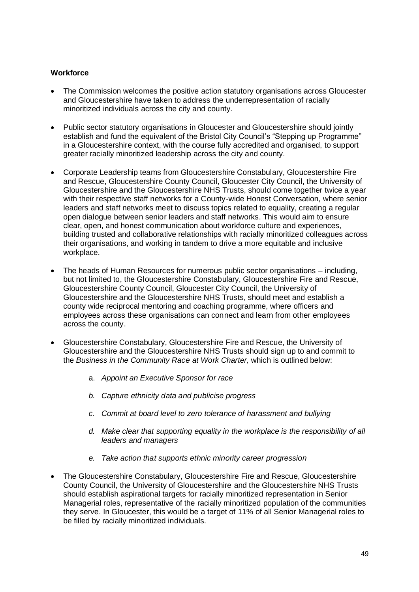#### **Workforce**

- The Commission welcomes the positive action statutory organisations across Gloucester and Gloucestershire have taken to address the underrepresentation of racially minoritized individuals across the city and county.
- Public sector statutory organisations in Gloucester and Gloucestershire should jointly establish and fund the equivalent of the Bristol City Council's "Stepping up Programme" in a Gloucestershire context, with the course fully accredited and organised, to support greater racially minoritized leadership across the city and county.
- Corporate Leadership teams from Gloucestershire Constabulary, Gloucestershire Fire and Rescue, Gloucestershire County Council, Gloucester City Council, the University of Gloucestershire and the Gloucestershire NHS Trusts, should come together twice a year with their respective staff networks for a County-wide Honest Conversation, where senior leaders and staff networks meet to discuss topics related to equality, creating a regular open dialogue between senior leaders and staff networks. This would aim to ensure clear, open, and honest communication about workforce culture and experiences, building trusted and collaborative relationships with racially minoritized colleagues across their organisations, and working in tandem to drive a more equitable and inclusive workplace.
- The heads of Human Resources for numerous public sector organisations including, but not limited to, the Gloucestershire Constabulary, Gloucestershire Fire and Rescue, Gloucestershire County Council, Gloucester City Council, the University of Gloucestershire and the Gloucestershire NHS Trusts, should meet and establish a county wide reciprocal mentoring and coaching programme, where officers and employees across these organisations can connect and learn from other employees across the county.
- Gloucestershire Constabulary, Gloucestershire Fire and Rescue, the University of Gloucestershire and the Gloucestershire NHS Trusts should sign up to and commit to the *Business in the Community Race at Work Charter,* which is outlined below:
	- a. *Appoint an Executive Sponsor for race*
	- *b. Capture ethnicity data and publicise progress*
	- *c. Commit at board level to zero tolerance of harassment and bullying*
	- *d. Make clear that supporting equality in the workplace is the responsibility of all leaders and managers*
	- *e. Take action that supports ethnic minority career progression*
- The Gloucestershire Constabulary, Gloucestershire Fire and Rescue, Gloucestershire County Council, the University of Gloucestershire and the Gloucestershire NHS Trusts should establish aspirational targets for racially minoritized representation in Senior Managerial roles, representative of the racially minoritized population of the communities they serve. In Gloucester, this would be a target of 11% of all Senior Managerial roles to be filled by racially minoritized individuals.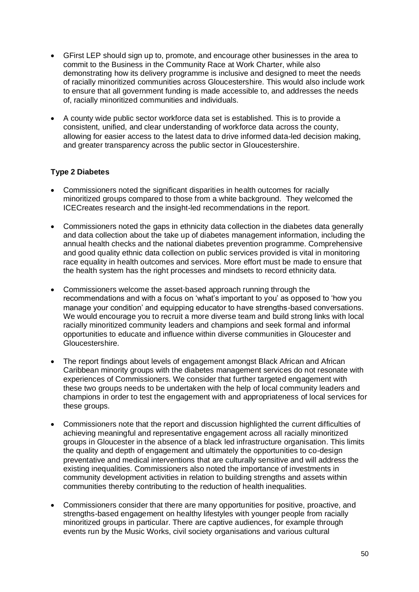- GFirst LEP should sign up to, promote, and encourage other businesses in the area to commit to the Business in the Community Race at Work Charter, while also demonstrating how its delivery programme is inclusive and designed to meet the needs of racially minoritized communities across Gloucestershire. This would also include work to ensure that all government funding is made accessible to, and addresses the needs of, racially minoritized communities and individuals.
- A county wide public sector workforce data set is established. This is to provide a consistent, unified, and clear understanding of workforce data across the county, allowing for easier access to the latest data to drive informed data-led decision making, and greater transparency across the public sector in Gloucestershire.

# **Type 2 Diabetes**

- Commissioners noted the significant disparities in health outcomes for racially minoritized groups compared to those from a white background. They welcomed the ICECreates research and the insight-led recommendations in the report.
- Commissioners noted the gaps in ethnicity data collection in the diabetes data generally and data collection about the take up of diabetes management information, including the annual health checks and the national diabetes prevention programme. Comprehensive and good quality ethnic data collection on public services provided is vital in monitoring race equality in health outcomes and services. More effort must be made to ensure that the health system has the right processes and mindsets to record ethnicity data.
- Commissioners welcome the asset-based approach running through the recommendations and with a focus on 'what's important to you' as opposed to 'how you manage your condition' and equipping educator to have strengths-based conversations. We would encourage you to recruit a more diverse team and build strong links with local racially minoritized community leaders and champions and seek formal and informal opportunities to educate and influence within diverse communities in Gloucester and Gloucestershire.
- The report findings about levels of engagement amongst Black African and African Caribbean minority groups with the diabetes management services do not resonate with experiences of Commissioners. We consider that further targeted engagement with these two groups needs to be undertaken with the help of local community leaders and champions in order to test the engagement with and appropriateness of local services for these groups.
- Commissioners note that the report and discussion highlighted the current difficulties of achieving meaningful and representative engagement across all racially minoritized groups in Gloucester in the absence of a black led infrastructure organisation. This limits the quality and depth of engagement and ultimately the opportunities to co-design preventative and medical interventions that are culturally sensitive and will address the existing inequalities. Commissioners also noted the importance of investments in community development activities in relation to building strengths and assets within communities thereby contributing to the reduction of health inequalities.
- Commissioners consider that there are many opportunities for positive, proactive, and strengths-based engagement on healthy lifestyles with younger people from racially minoritized groups in particular. There are captive audiences, for example through events run by the Music Works, civil society organisations and various cultural